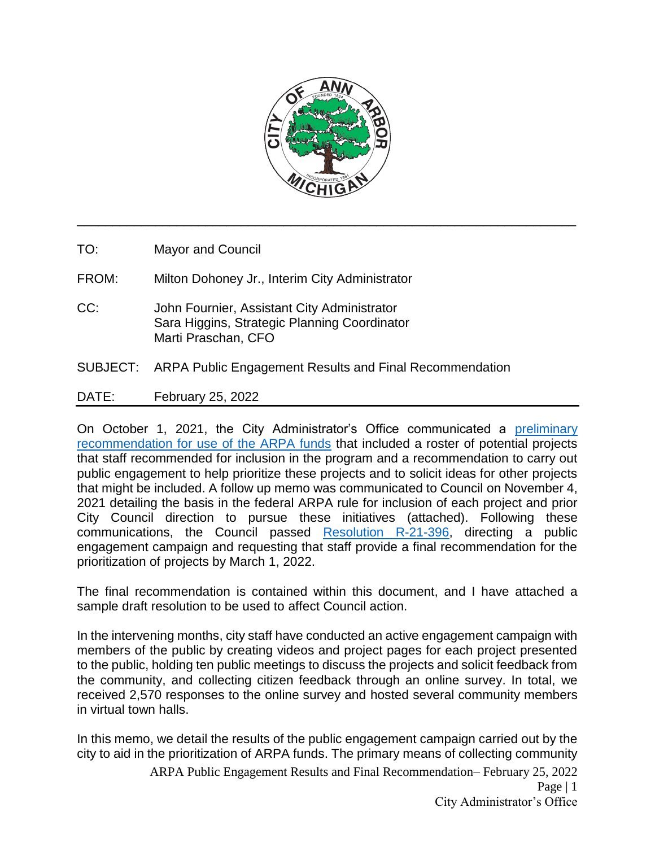

\_\_\_\_\_\_\_\_\_\_\_\_\_\_\_\_\_\_\_\_\_\_\_\_\_\_\_\_\_\_\_\_\_\_\_\_\_\_\_\_\_\_\_\_\_\_\_\_\_\_\_\_\_\_\_\_\_\_\_\_\_\_\_\_\_\_\_\_\_\_

TO: Mayor and Council

FROM: Milton Dohoney Jr., Interim City Administrator

- CC: John Fournier, Assistant City Administrator Sara Higgins, Strategic Planning Coordinator Marti Praschan, CFO
- SUBJECT: ARPA Public Engagement Results and Final Recommendation
- DATE: February 25, 2022

On October 1, 2021, the City Administrator's Office communicated a [preliminary](http://a2gov.legistar.com/LegislationDetail.aspx?ID=5158268&GUID=86E594B0-B3AA-4F8C-BF98-F84C6800DE73)  [recommendation for use of the ARPA funds](http://a2gov.legistar.com/LegislationDetail.aspx?ID=5158268&GUID=86E594B0-B3AA-4F8C-BF98-F84C6800DE73) that included a roster of potential projects that staff recommended for inclusion in the program and a recommendation to carry out public engagement to help prioritize these projects and to solicit ideas for other projects that might be included. A follow up memo was communicated to Council on November 4, 2021 detailing the basis in the federal ARPA rule for inclusion of each project and prior City Council direction to pursue these initiatives (attached). Following these communications, the Council passed [Resolution R-21-396,](https://a2gov.legistar.com/LegislationDetail.aspx?ID=5160594&GUID=AFA44345-7B18-41F6-B1BE-EBA065EF64C2&Options=ID|Text|&Search=ARP) directing a public engagement campaign and requesting that staff provide a final recommendation for the prioritization of projects by March 1, 2022.

The final recommendation is contained within this document, and I have attached a sample draft resolution to be used to affect Council action.

In the intervening months, city staff have conducted an active engagement campaign with members of the public by creating videos and project pages for each project presented to the public, holding ten public meetings to discuss the projects and solicit feedback from the community, and collecting citizen feedback through an online survey. In total, we received 2,570 responses to the online survey and hosted several community members in virtual town halls.

In this memo, we detail the results of the public engagement campaign carried out by the city to aid in the prioritization of ARPA funds. The primary means of collecting community

> ARPA Public Engagement Results and Final Recommendation– February 25, 2022 Page  $|1$ City Administrator's Office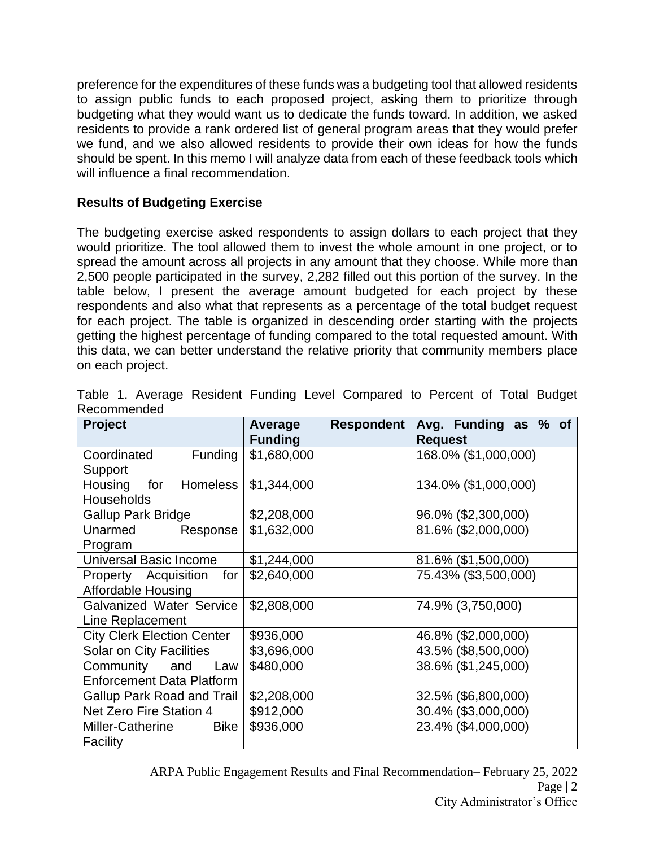preference for the expenditures of these funds was a budgeting tool that allowed residents to assign public funds to each proposed project, asking them to prioritize through budgeting what they would want us to dedicate the funds toward. In addition, we asked residents to provide a rank ordered list of general program areas that they would prefer we fund, and we also allowed residents to provide their own ideas for how the funds should be spent. In this memo I will analyze data from each of these feedback tools which will influence a final recommendation.

# **Results of Budgeting Exercise**

The budgeting exercise asked respondents to assign dollars to each project that they would prioritize. The tool allowed them to invest the whole amount in one project, or to spread the amount across all projects in any amount that they choose. While more than 2,500 people participated in the survey, 2,282 filled out this portion of the survey. In the table below, I present the average amount budgeted for each project by these respondents and also what that represents as a percentage of the total budget request for each project. The table is organized in descending order starting with the projects getting the highest percentage of funding compared to the total requested amount. With this data, we can better understand the relative priority that community members place on each project.

| Project                                                  | <b>Respondent</b><br>Average<br><b>Funding</b> | Avg. Funding as % of<br><b>Request</b> |
|----------------------------------------------------------|------------------------------------------------|----------------------------------------|
| Coordinated<br>Funding<br>Support                        | \$1,680,000                                    | 168.0% (\$1,000,000)                   |
| Housing<br>Homeless<br>for<br><b>Households</b>          | \$1,344,000                                    | 134.0% (\$1,000,000)                   |
| <b>Gallup Park Bridge</b>                                | \$2,208,000                                    | 96.0% (\$2,300,000)                    |
| Unarmed<br>Response<br>Program                           | \$1,632,000                                    | 81.6% (\$2,000,000)                    |
| Universal Basic Income                                   | \$1,244,000                                    | 81.6% (\$1,500,000)                    |
| Property Acquisition for<br><b>Affordable Housing</b>    | \$2,640,000                                    | 75.43% (\$3,500,000)                   |
| Galvanized Water Service<br>Line Replacement             | \$2,808,000                                    | 74.9% (3,750,000)                      |
| <b>City Clerk Election Center</b>                        | \$936,000                                      | 46.8% (\$2,000,000)                    |
| <b>Solar on City Facilities</b>                          | \$3,696,000                                    | 43.5% (\$8,500,000)                    |
| Community and<br>Law<br><b>Enforcement Data Platform</b> | \$480,000                                      | 38.6% (\$1,245,000)                    |
| Gallup Park Road and Trail                               | \$2,208,000                                    | 32.5% (\$6,800,000)                    |
| Net Zero Fire Station 4                                  | \$912,000                                      | 30.4% (\$3,000,000)                    |
| Miller-Catherine<br><b>Bike</b><br>Facility              | \$936,000                                      | 23.4% (\$4,000,000)                    |

|             |  |  | Table 1. Average Resident Funding Level Compared to Percent of Total Budget |  |  |  |
|-------------|--|--|-----------------------------------------------------------------------------|--|--|--|
| Recommended |  |  |                                                                             |  |  |  |

ARPA Public Engagement Results and Final Recommendation– February 25, 2022 Page | 2 City Administrator's Office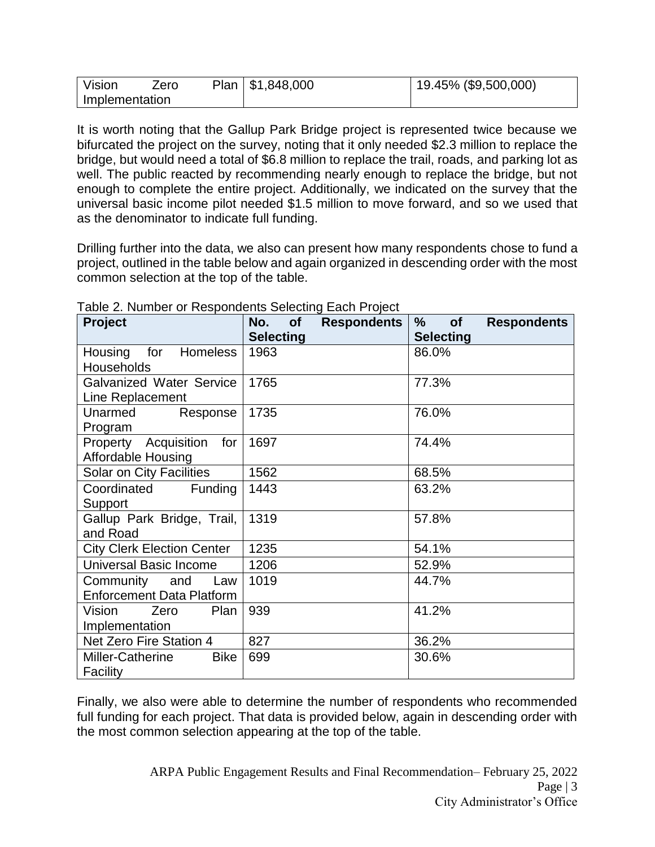| Vision         | ∠ero | Plan   $$1,848,000$ | 19.45% (\$9,500,000) |
|----------------|------|---------------------|----------------------|
| Implementation |      |                     |                      |

It is worth noting that the Gallup Park Bridge project is represented twice because we bifurcated the project on the survey, noting that it only needed \$2.3 million to replace the bridge, but would need a total of \$6.8 million to replace the trail, roads, and parking lot as well. The public reacted by recommending nearly enough to replace the bridge, but not enough to complete the entire project. Additionally, we indicated on the survey that the universal basic income pilot needed \$1.5 million to move forward, and so we used that as the denominator to indicate full funding.

Drilling further into the data, we also can present how many respondents chose to fund a project, outlined in the table below and again organized in descending order with the most common selection at the top of the table.

| Project                                                  | <b>Respondents</b><br>No.<br><b>of</b><br><b>Selecting</b> | $\%$<br><b>Respondents</b><br><b>of</b><br><b>Selecting</b> |
|----------------------------------------------------------|------------------------------------------------------------|-------------------------------------------------------------|
| Housing<br>for<br>Homeless<br>Households                 | 1963                                                       | 86.0%                                                       |
| <b>Galvanized Water Service</b><br>Line Replacement      | 1765                                                       | 77.3%                                                       |
| Unarmed<br>Response<br>Program                           | 1735                                                       | 76.0%                                                       |
| Property Acquisition for<br><b>Affordable Housing</b>    | 1697                                                       | 74.4%                                                       |
| Solar on City Facilities                                 | 1562                                                       | 68.5%                                                       |
| Coordinated<br>Funding<br>Support                        | 1443                                                       | 63.2%                                                       |
| Gallup Park Bridge, Trail,<br>and Road                   | 1319                                                       | 57.8%                                                       |
| <b>City Clerk Election Center</b>                        | 1235                                                       | 54.1%                                                       |
| <b>Universal Basic Income</b>                            | 1206                                                       | 52.9%                                                       |
| Community and<br>Law<br><b>Enforcement Data Platform</b> | 1019                                                       | 44.7%                                                       |
| Vision<br>Plan<br>Zero<br>Implementation                 | 939                                                        | 41.2%                                                       |
| Net Zero Fire Station 4                                  | 827                                                        | 36.2%                                                       |
| Miller-Catherine<br><b>Bike</b><br>Facility              | 699                                                        | 30.6%                                                       |

Table 2. Number or Respondents Selecting Each Project

Finally, we also were able to determine the number of respondents who recommended full funding for each project. That data is provided below, again in descending order with the most common selection appearing at the top of the table.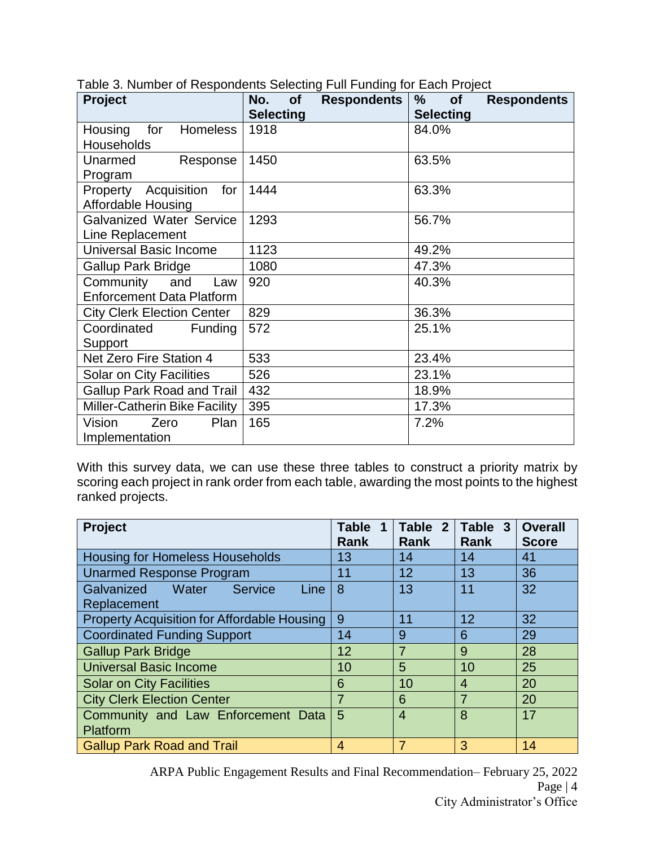| Project                           | No.<br><b>Respondents</b><br><b>of</b> | $\frac{0}{0}$<br><b>of</b><br><b>Respondents</b> |
|-----------------------------------|----------------------------------------|--------------------------------------------------|
|                                   | <b>Selecting</b>                       | <b>Selecting</b>                                 |
| Housing<br><b>Homeless</b><br>for | 1918                                   | 84.0%                                            |
| Households                        |                                        |                                                  |
| Unarmed<br>Response               | 1450                                   | 63.5%                                            |
| Program                           |                                        |                                                  |
| Property Acquisition<br>for       | 1444                                   | 63.3%                                            |
| <b>Affordable Housing</b>         |                                        |                                                  |
| <b>Galvanized Water Service</b>   | 1293                                   | 56.7%                                            |
| Line Replacement                  |                                        |                                                  |
| <b>Universal Basic Income</b>     | 1123                                   | 49.2%                                            |
| <b>Gallup Park Bridge</b>         | 1080                                   | 47.3%                                            |
| Community<br>and<br>Law           | 920                                    | 40.3%                                            |
| <b>Enforcement Data Platform</b>  |                                        |                                                  |
| <b>City Clerk Election Center</b> | 829                                    | 36.3%                                            |
| Coordinated<br><b>Funding</b>     | 572                                    | 25.1%                                            |
| Support                           |                                        |                                                  |
| Net Zero Fire Station 4           | 533                                    | 23.4%                                            |
| Solar on City Facilities          | 526                                    | 23.1%                                            |
| <b>Gallup Park Road and Trail</b> | 432                                    | 18.9%                                            |
| Miller-Catherin Bike Facility     | 395                                    | 17.3%                                            |
| Vision<br>Zero<br>Plan            | 165                                    | 7.2%                                             |
| Implementation                    |                                        |                                                  |

| Table 3. Number of Respondents Selecting Full Funding for Each Project |  |  |
|------------------------------------------------------------------------|--|--|
|                                                                        |  |  |
|                                                                        |  |  |
|                                                                        |  |  |

With this survey data, we can use these three tables to construct a priority matrix by scoring each project in rank order from each table, awarding the most points to the highest ranked projects.

| Project                                            | <b>Table</b><br><b>Rank</b> | Table 2<br><b>Rank</b> | Table 3<br><b>Rank</b> | <b>Overall</b><br><b>Score</b> |
|----------------------------------------------------|-----------------------------|------------------------|------------------------|--------------------------------|
| <b>Housing for Homeless Households</b>             | 13                          | 14                     | 14                     | 41                             |
| <b>Unarmed Response Program</b>                    | 11                          | 12                     | 13                     | 36                             |
| Galvanized Water Service<br>Line                   | 8                           | 13                     | 11                     | 32                             |
| Replacement                                        |                             |                        |                        |                                |
| <b>Property Acquisition for Affordable Housing</b> | 9                           | 11                     | 12                     | 32                             |
| <b>Coordinated Funding Support</b>                 | 14                          | 9                      | 6                      | 29                             |
| <b>Gallup Park Bridge</b>                          | 12                          | $\overline{7}$         | 9                      | 28                             |
| <b>Universal Basic Income</b>                      | 10                          | 5                      | 10                     | 25                             |
| <b>Solar on City Facilities</b>                    | 6                           | 10                     | 4                      | 20                             |
| <b>City Clerk Election Center</b>                  | 7                           | 6                      | $\overline{7}$         | 20                             |
| Community and Law Enforcement Data                 | 5                           | $\overline{4}$         | 8                      | 17                             |
| Platform                                           |                             |                        |                        |                                |
| <b>Gallup Park Road and Trail</b>                  | 4                           | 7                      | 3                      | 14                             |

ARPA Public Engagement Results and Final Recommendation– February 25, 2022 Page | 4 City Administrator's Office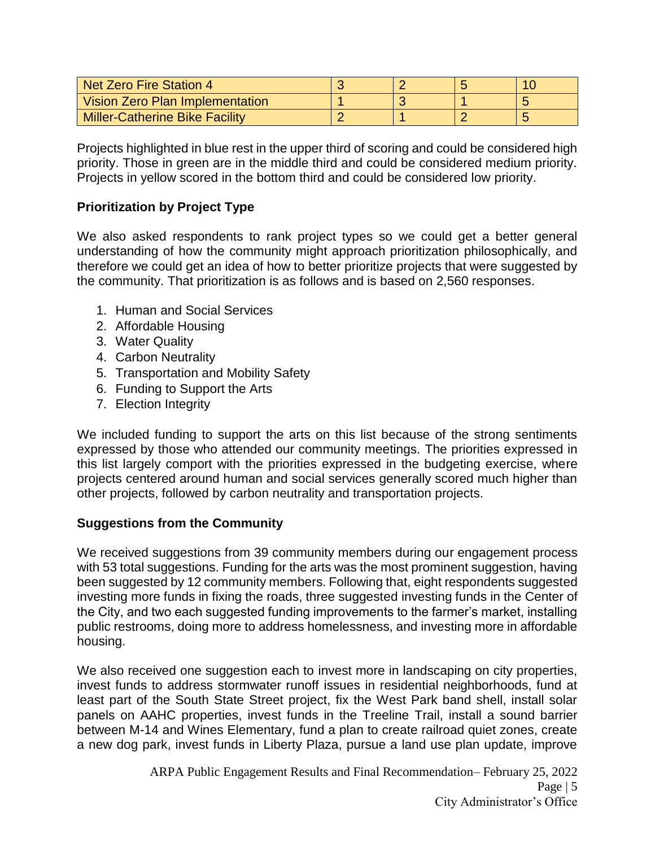| Net Zero Fire Station 4               |  |  |
|---------------------------------------|--|--|
| Vision Zero Plan Implementation       |  |  |
| <b>Miller-Catherine Bike Facility</b> |  |  |

Projects highlighted in blue rest in the upper third of scoring and could be considered high priority. Those in green are in the middle third and could be considered medium priority. Projects in yellow scored in the bottom third and could be considered low priority.

# **Prioritization by Project Type**

We also asked respondents to rank project types so we could get a better general understanding of how the community might approach prioritization philosophically, and therefore we could get an idea of how to better prioritize projects that were suggested by the community. That prioritization is as follows and is based on 2,560 responses.

- 1. Human and Social Services
- 2. Affordable Housing
- 3. Water Quality
- 4. Carbon Neutrality
- 5. Transportation and Mobility Safety
- 6. Funding to Support the Arts
- 7. Election Integrity

We included funding to support the arts on this list because of the strong sentiments expressed by those who attended our community meetings. The priorities expressed in this list largely comport with the priorities expressed in the budgeting exercise, where projects centered around human and social services generally scored much higher than other projects, followed by carbon neutrality and transportation projects.

## **Suggestions from the Community**

We received suggestions from 39 community members during our engagement process with 53 total suggestions. Funding for the arts was the most prominent suggestion, having been suggested by 12 community members. Following that, eight respondents suggested investing more funds in fixing the roads, three suggested investing funds in the Center of the City, and two each suggested funding improvements to the farmer's market, installing public restrooms, doing more to address homelessness, and investing more in affordable housing.

We also received one suggestion each to invest more in landscaping on city properties, invest funds to address stormwater runoff issues in residential neighborhoods, fund at least part of the South State Street project, fix the West Park band shell, install solar panels on AAHC properties, invest funds in the Treeline Trail, install a sound barrier between M-14 and Wines Elementary, fund a plan to create railroad quiet zones, create a new dog park, invest funds in Liberty Plaza, pursue a land use plan update, improve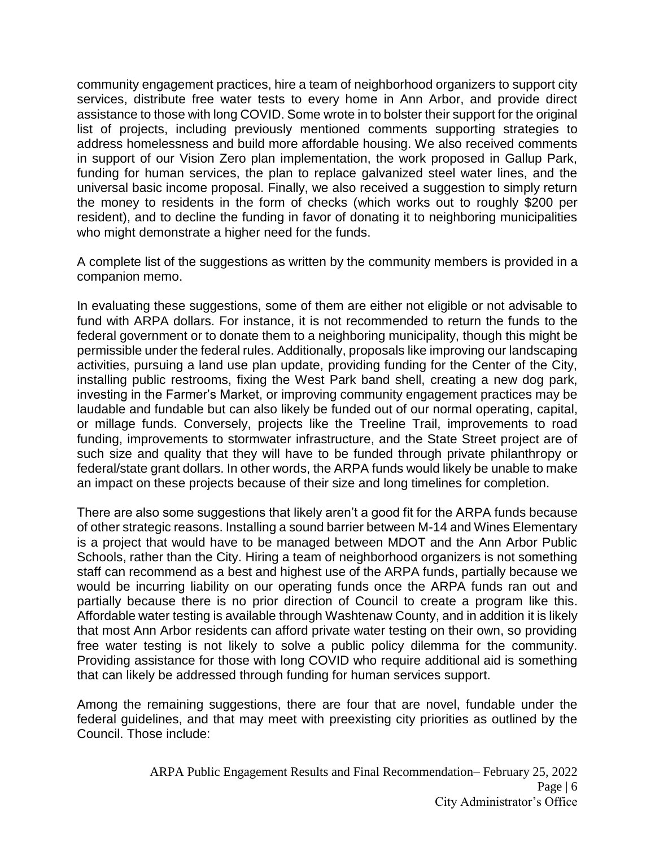community engagement practices, hire a team of neighborhood organizers to support city services, distribute free water tests to every home in Ann Arbor, and provide direct assistance to those with long COVID. Some wrote in to bolster their support for the original list of projects, including previously mentioned comments supporting strategies to address homelessness and build more affordable housing. We also received comments in support of our Vision Zero plan implementation, the work proposed in Gallup Park, funding for human services, the plan to replace galvanized steel water lines, and the universal basic income proposal. Finally, we also received a suggestion to simply return the money to residents in the form of checks (which works out to roughly \$200 per resident), and to decline the funding in favor of donating it to neighboring municipalities who might demonstrate a higher need for the funds.

A complete list of the suggestions as written by the community members is provided in a companion memo.

In evaluating these suggestions, some of them are either not eligible or not advisable to fund with ARPA dollars. For instance, it is not recommended to return the funds to the federal government or to donate them to a neighboring municipality, though this might be permissible under the federal rules. Additionally, proposals like improving our landscaping activities, pursuing a land use plan update, providing funding for the Center of the City, installing public restrooms, fixing the West Park band shell, creating a new dog park, investing in the Farmer's Market, or improving community engagement practices may be laudable and fundable but can also likely be funded out of our normal operating, capital, or millage funds. Conversely, projects like the Treeline Trail, improvements to road funding, improvements to stormwater infrastructure, and the State Street project are of such size and quality that they will have to be funded through private philanthropy or federal/state grant dollars. In other words, the ARPA funds would likely be unable to make an impact on these projects because of their size and long timelines for completion.

There are also some suggestions that likely aren't a good fit for the ARPA funds because of other strategic reasons. Installing a sound barrier between M-14 and Wines Elementary is a project that would have to be managed between MDOT and the Ann Arbor Public Schools, rather than the City. Hiring a team of neighborhood organizers is not something staff can recommend as a best and highest use of the ARPA funds, partially because we would be incurring liability on our operating funds once the ARPA funds ran out and partially because there is no prior direction of Council to create a program like this. Affordable water testing is available through Washtenaw County, and in addition it is likely that most Ann Arbor residents can afford private water testing on their own, so providing free water testing is not likely to solve a public policy dilemma for the community. Providing assistance for those with long COVID who require additional aid is something that can likely be addressed through funding for human services support.

Among the remaining suggestions, there are four that are novel, fundable under the federal guidelines, and that may meet with preexisting city priorities as outlined by the Council. Those include: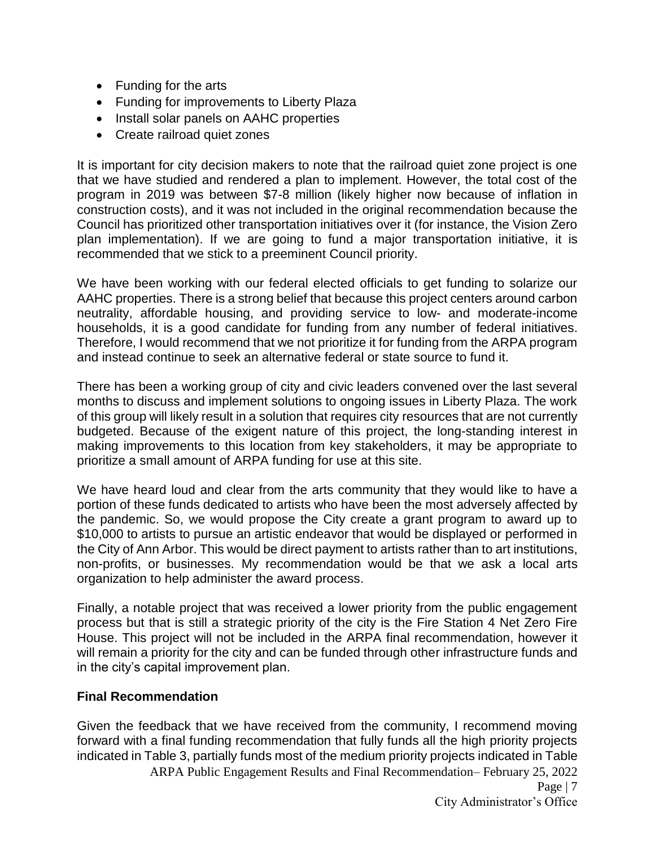- Funding for the arts
- Funding for improvements to Liberty Plaza
- Install solar panels on AAHC properties
- Create railroad quiet zones

It is important for city decision makers to note that the railroad quiet zone project is one that we have studied and rendered a plan to implement. However, the total cost of the program in 2019 was between \$7-8 million (likely higher now because of inflation in construction costs), and it was not included in the original recommendation because the Council has prioritized other transportation initiatives over it (for instance, the Vision Zero plan implementation). If we are going to fund a major transportation initiative, it is recommended that we stick to a preeminent Council priority.

We have been working with our federal elected officials to get funding to solarize our AAHC properties. There is a strong belief that because this project centers around carbon neutrality, affordable housing, and providing service to low- and moderate-income households, it is a good candidate for funding from any number of federal initiatives. Therefore, I would recommend that we not prioritize it for funding from the ARPA program and instead continue to seek an alternative federal or state source to fund it.

There has been a working group of city and civic leaders convened over the last several months to discuss and implement solutions to ongoing issues in Liberty Plaza. The work of this group will likely result in a solution that requires city resources that are not currently budgeted. Because of the exigent nature of this project, the long-standing interest in making improvements to this location from key stakeholders, it may be appropriate to prioritize a small amount of ARPA funding for use at this site.

We have heard loud and clear from the arts community that they would like to have a portion of these funds dedicated to artists who have been the most adversely affected by the pandemic. So, we would propose the City create a grant program to award up to \$10,000 to artists to pursue an artistic endeavor that would be displayed or performed in the City of Ann Arbor. This would be direct payment to artists rather than to art institutions, non-profits, or businesses. My recommendation would be that we ask a local arts organization to help administer the award process.

Finally, a notable project that was received a lower priority from the public engagement process but that is still a strategic priority of the city is the Fire Station 4 Net Zero Fire House. This project will not be included in the ARPA final recommendation, however it will remain a priority for the city and can be funded through other infrastructure funds and in the city's capital improvement plan.

## **Final Recommendation**

ARPA Public Engagement Results and Final Recommendation– February 25, 2022 Given the feedback that we have received from the community, I recommend moving forward with a final funding recommendation that fully funds all the high priority projects indicated in Table 3, partially funds most of the medium priority projects indicated in Table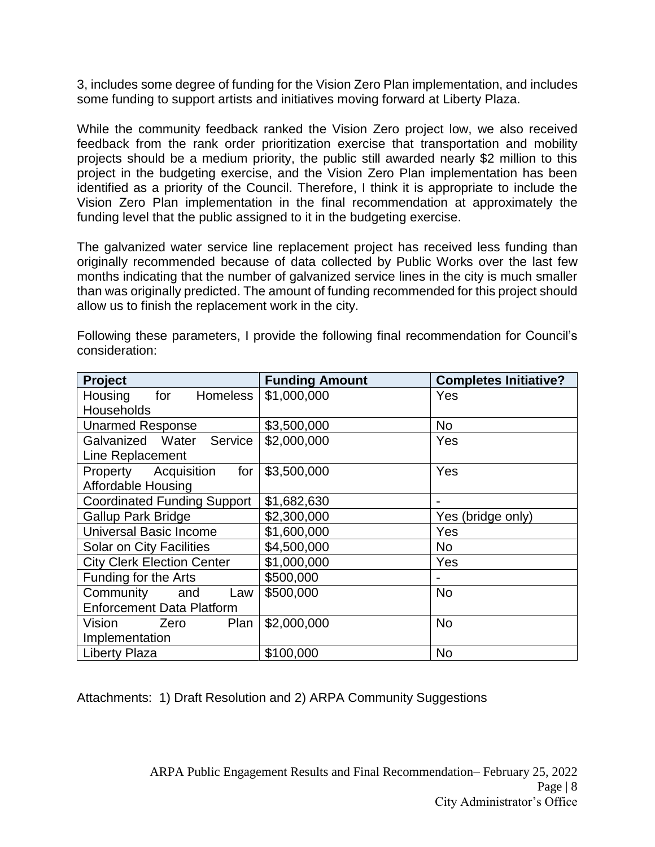3, includes some degree of funding for the Vision Zero Plan implementation, and includes some funding to support artists and initiatives moving forward at Liberty Plaza.

While the community feedback ranked the Vision Zero project low, we also received feedback from the rank order prioritization exercise that transportation and mobility projects should be a medium priority, the public still awarded nearly \$2 million to this project in the budgeting exercise, and the Vision Zero Plan implementation has been identified as a priority of the Council. Therefore, I think it is appropriate to include the Vision Zero Plan implementation in the final recommendation at approximately the funding level that the public assigned to it in the budgeting exercise.

The galvanized water service line replacement project has received less funding than originally recommended because of data collected by Public Works over the last few months indicating that the number of galvanized service lines in the city is much smaller than was originally predicted. The amount of funding recommended for this project should allow us to finish the replacement work in the city.

| Project                            | <b>Funding Amount</b> | <b>Completes Initiative?</b> |  |
|------------------------------------|-----------------------|------------------------------|--|
| for<br>Housing<br><b>Homeless</b>  | \$1,000,000           | Yes                          |  |
| Households                         |                       |                              |  |
| <b>Unarmed Response</b>            | \$3,500,000           | <b>No</b>                    |  |
| Galvanized Water Service           | \$2,000,000           | Yes                          |  |
| Line Replacement                   |                       |                              |  |
| for<br>Property Acquisition        | \$3,500,000           | Yes                          |  |
| <b>Affordable Housing</b>          |                       |                              |  |
| <b>Coordinated Funding Support</b> | \$1,682,630           |                              |  |
| <b>Gallup Park Bridge</b>          | \$2,300,000           | Yes (bridge only)            |  |
| <b>Universal Basic Income</b>      | \$1,600,000           | Yes                          |  |
| Solar on City Facilities           | \$4,500,000           | <b>No</b>                    |  |
| <b>City Clerk Election Center</b>  | \$1,000,000           | Yes                          |  |
| Funding for the Arts               | \$500,000             |                              |  |
| Community and<br>Law               | \$500,000             | <b>No</b>                    |  |
| <b>Enforcement Data Platform</b>   |                       |                              |  |
| Plan<br>Vision<br>Zero             | \$2,000,000           | <b>No</b>                    |  |
| Implementation                     |                       |                              |  |
| <b>Liberty Plaza</b>               | \$100,000             | <b>No</b>                    |  |

Following these parameters, I provide the following final recommendation for Council's consideration:

Attachments: 1) Draft Resolution and 2) ARPA Community Suggestions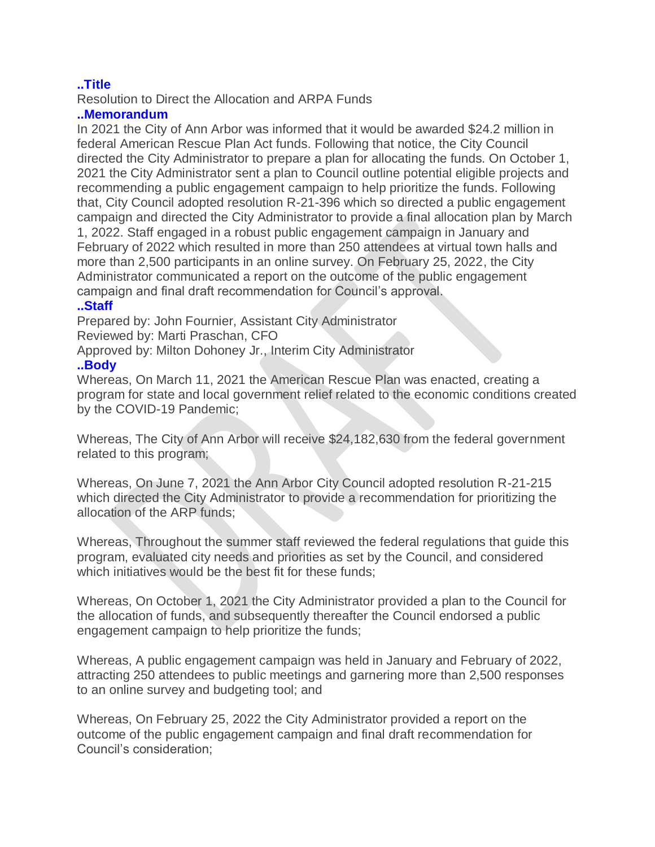## **..Title**

Resolution to Direct the Allocation and ARPA Funds

## **..Memorandum**

In 2021 the City of Ann Arbor was informed that it would be awarded \$24.2 million in federal American Rescue Plan Act funds. Following that notice, the City Council directed the City Administrator to prepare a plan for allocating the funds. On October 1, 2021 the City Administrator sent a plan to Council outline potential eligible projects and recommending a public engagement campaign to help prioritize the funds. Following that, City Council adopted resolution R-21-396 which so directed a public engagement campaign and directed the City Administrator to provide a final allocation plan by March 1, 2022. Staff engaged in a robust public engagement campaign in January and February of 2022 which resulted in more than 250 attendees at virtual town halls and more than 2,500 participants in an online survey. On February 25, 2022, the City Administrator communicated a report on the outcome of the public engagement campaign and final draft recommendation for Council's approval.

## **..Staff**

Prepared by: John Fournier, Assistant City Administrator Reviewed by: Marti Praschan, CFO

Approved by: Milton Dohoney Jr., Interim City Administrator

## **..Body**

Whereas, On March 11, 2021 the American Rescue Plan was enacted, creating a program for state and local government relief related to the economic conditions created by the COVID-19 Pandemic;

Whereas, The City of Ann Arbor will receive \$24,182,630 from the federal government related to this program;

Whereas, On June 7, 2021 the Ann Arbor City Council adopted resolution R-21-215 which directed the City Administrator to provide a recommendation for prioritizing the allocation of the ARP funds;

Whereas, Throughout the summer staff reviewed the federal regulations that guide this program, evaluated city needs and priorities as set by the Council, and considered which initiatives would be the best fit for these funds;

Whereas, On October 1, 2021 the City Administrator provided a plan to the Council for the allocation of funds, and subsequently thereafter the Council endorsed a public engagement campaign to help prioritize the funds;

Whereas, A public engagement campaign was held in January and February of 2022, attracting 250 attendees to public meetings and garnering more than 2,500 responses to an online survey and budgeting tool; and

Whereas, On February 25, 2022 the City Administrator provided a report on the outcome of the public engagement campaign and final draft recommendation for Council's consideration;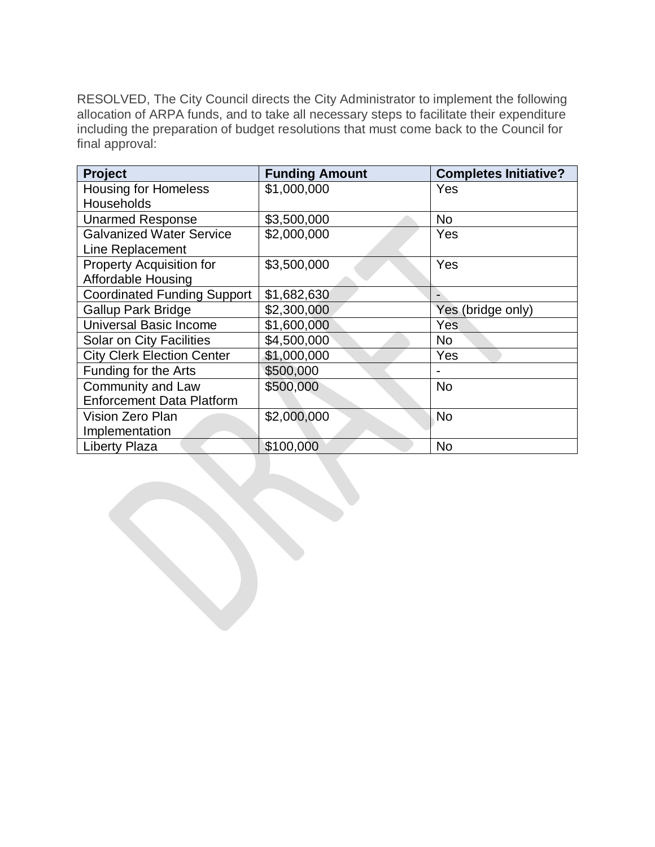RESOLVED, The City Council directs the City Administrator to implement the following allocation of ARPA funds, and to take all necessary steps to facilitate their expenditure including the preparation of budget resolutions that must come back to the Council for final approval:

| Project                            | <b>Funding Amount</b> | <b>Completes Initiative?</b> |
|------------------------------------|-----------------------|------------------------------|
| <b>Housing for Homeless</b>        | \$1,000,000           | Yes                          |
| Households                         |                       |                              |
| <b>Unarmed Response</b>            | \$3,500,000           | <b>No</b>                    |
| <b>Galvanized Water Service</b>    | \$2,000,000           | Yes                          |
| Line Replacement                   |                       |                              |
| <b>Property Acquisition for</b>    | \$3,500,000           | Yes                          |
| <b>Affordable Housing</b>          |                       |                              |
| <b>Coordinated Funding Support</b> | \$1,682,630           |                              |
| <b>Gallup Park Bridge</b>          | \$2,300,000           | Yes (bridge only)            |
| <b>Universal Basic Income</b>      | \$1,600,000           | <b>Yes</b>                   |
| <b>Solar on City Facilities</b>    | \$4,500,000           | No                           |
| <b>City Clerk Election Center</b>  | \$1,000,000           | Yes                          |
| Funding for the Arts               | \$500,000             |                              |
| Community and Law                  | \$500,000             | <b>No</b>                    |
| <b>Enforcement Data Platform</b>   |                       |                              |
| Vision Zero Plan                   | \$2,000,000           | <b>No</b>                    |
| Implementation                     |                       |                              |
| <b>Liberty Plaza</b>               | \$100,000             | <b>No</b>                    |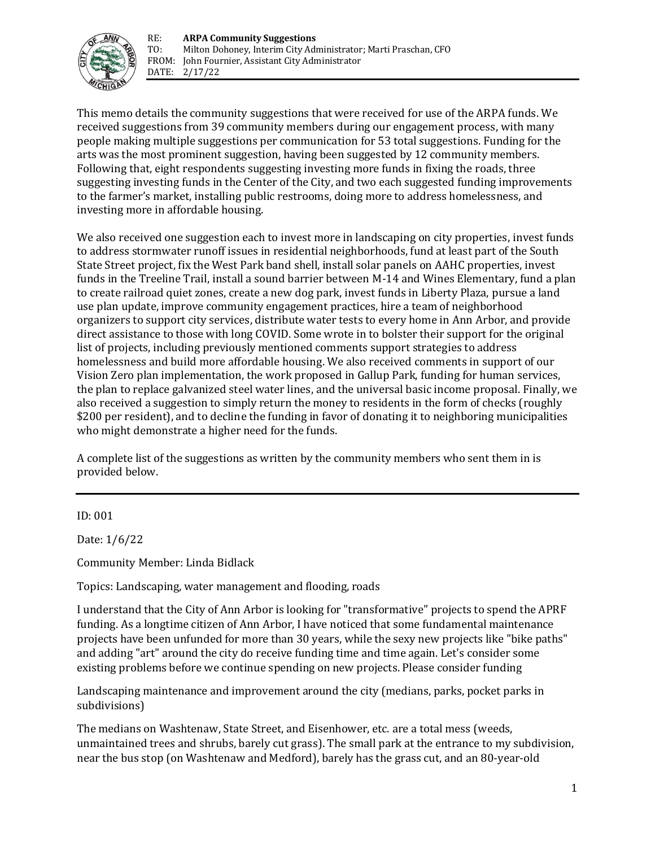

This memo details the community suggestions that were received for use of the ARPA funds. We received suggestions from 39 community members during our engagement process, with many people making multiple suggestions per communication for 53 total suggestions. Funding for the arts was the most prominent suggestion, having been suggested by 12 community members. Following that, eight respondents suggesting investing more funds in fixing the roads, three suggesting investing funds in the Center of the City, and two each suggested funding improvements to the farmer's market, installing public restrooms, doing more to address homelessness, and investing more in affordable housing.

We also received one suggestion each to invest more in landscaping on city properties, invest funds to address stormwater runoff issues in residential neighborhoods, fund at least part of the South State Street project, fix the West Park band shell, install solar panels on AAHC properties, invest funds in the Treeline Trail, install a sound barrier between M-14 and Wines Elementary, fund a plan to create railroad quiet zones, create a new dog park, invest funds in Liberty Plaza, pursue a land use plan update, improve community engagement practices, hire a team of neighborhood organizers to support city services, distribute water tests to every home in Ann Arbor, and provide direct assistance to those with long COVID. Some wrote in to bolster their support for the original list of projects, including previously mentioned comments support strategies to address homelessness and build more affordable housing. We also received comments in support of our Vision Zero plan implementation, the work proposed in Gallup Park, funding for human services, the plan to replace galvanized steel water lines, and the universal basic income proposal. Finally, we also received a suggestion to simply return the money to residents in the form of checks (roughly \$200 per resident), and to decline the funding in favor of donating it to neighboring municipalities who might demonstrate a higher need for the funds.

A complete list of the suggestions as written by the community members who sent them in is provided below.

ID: 001

Date: 1/6/22

Community Member: Linda Bidlack

Topics: Landscaping, water management and flooding, roads

I understand that the City of Ann Arbor is looking for "transformative" projects to spend the APRF funding. As a longtime citizen of Ann Arbor, I have noticed that some fundamental maintenance projects have been unfunded for more than 30 years, while the sexy new projects like "bike paths" and adding "art" around the city do receive funding time and time again. Let's consider some existing problems before we continue spending on new projects. Please consider funding

Landscaping maintenance and improvement around the city (medians, parks, pocket parks in subdivisions)

The medians on Washtenaw, State Street, and Eisenhower, etc. are a total mess (weeds, unmaintained trees and shrubs, barely cut grass). The small park at the entrance to my subdivision, near the bus stop (on Washtenaw and Medford), barely has the grass cut, and an 80‐year‐old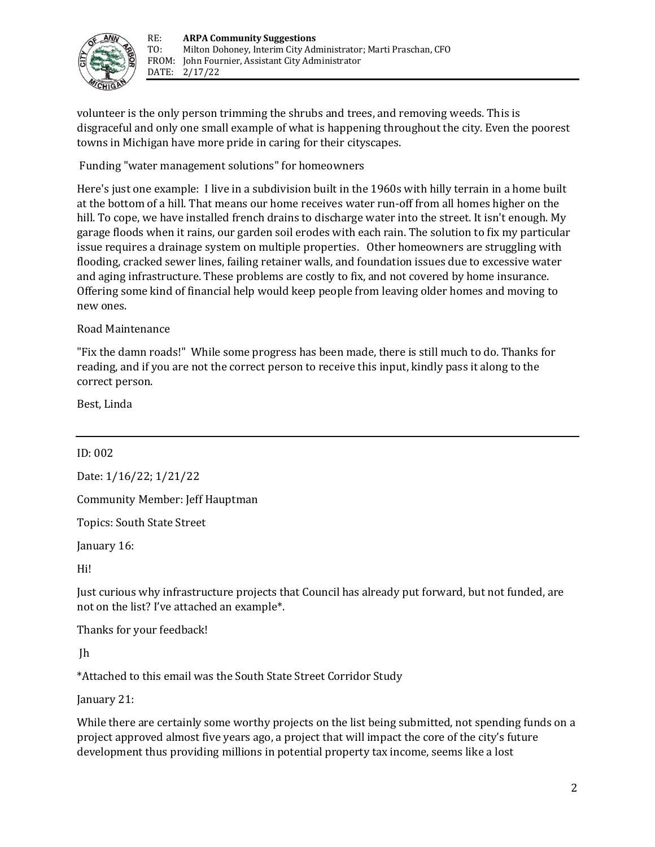

volunteer is the only person trimming the shrubs and trees, and removing weeds. This is disgraceful and only one small example of what is happening throughout the city. Even the poorest towns in Michigan have more pride in caring for their cityscapes.

Funding "water management solutions" for homeowners

Here's just one example: I live in a subdivision built in the 1960s with hilly terrain in a home built at the bottom of a hill. That means our home receives water run-off from all homes higher on the hill. To cope, we have installed french drains to discharge water into the street. It isn't enough. My garage floods when it rains, our garden soil erodes with each rain. The solution to fix my particular issue requires a drainage system on multiple properties. Other homeowners are struggling with flooding, cracked sewer lines, failing retainer walls, and foundation issues due to excessive water and aging infrastructure. These problems are costly to fix, and not covered by home insurance. Offering some kind of financial help would keep people from leaving older homes and moving to new ones.

#### Road Maintenance

"Fix the damn roads!" While some progress has been made, there is still much to do. Thanks for reading, and if you are not the correct person to receive this input, kindly pass it along to the correct person.

Best, Linda

#### ID: 002

Date: 1/16/22; 1/21/22

Community Member: Jeff Hauptman

Topics: South State Street

January 16:

Hi!

Just curious why infrastructure projects that Council has already put forward, but not funded, are not on the list? I've attached an example\*.

Thanks for your feedback!

Jh

\*Attached to this email was the South State Street Corridor Study

January 21:

While there are certainly some worthy projects on the list being submitted, not spending funds on a project approved almost five years ago, a project that will impact the core of the city's future development thus providing millions in potential property tax income, seems like a lost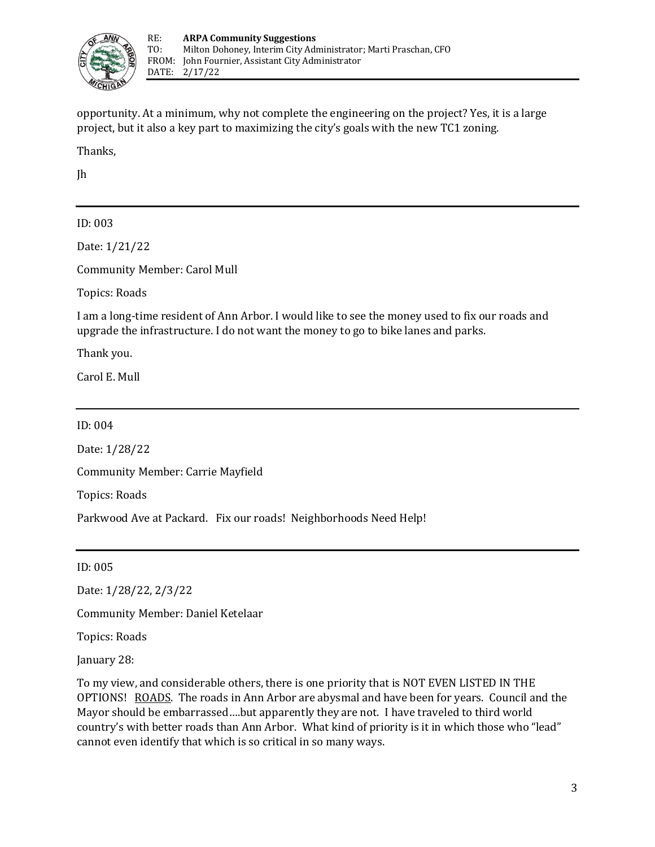

opportunity. At a minimum, why not complete the engineering on the project? Yes, it is a large project, but it also a key part to maximizing the city's goals with the new TC1 zoning.

Thanks,

Jh

### ID: 003

Date: 1/21/22

Community Member: Carol Mull

Topics: Roads

I am a long-time resident of Ann Arbor. I would like to see the money used to fix our roads and upgrade the infrastructure. I do not want the money to go to bike lanes and parks.

Thank you.

Carol E. Mull

ID: 004

Date: 1/28/22

Community Member: Carrie Mayfield

Topics: Roads

Parkwood Ave at Packard. Fix our roads! Neighborhoods Need Help!

ID: 005

Date: 1/28/22, 2/3/22

Community Member: Daniel Ketelaar

Topics: Roads

January 28:

To my view, and considerable others, there is one priority that is NOT EVEN LISTED IN THE OPTIONS! ROADS. The roads in Ann Arbor are abysmal and have been for years. Council and the Mayor should be embarrassed….but apparently they are not. I have traveled to third world country's with better roads than Ann Arbor. What kind of priority is it in which those who "lead" cannot even identify that which is so critical in so many ways.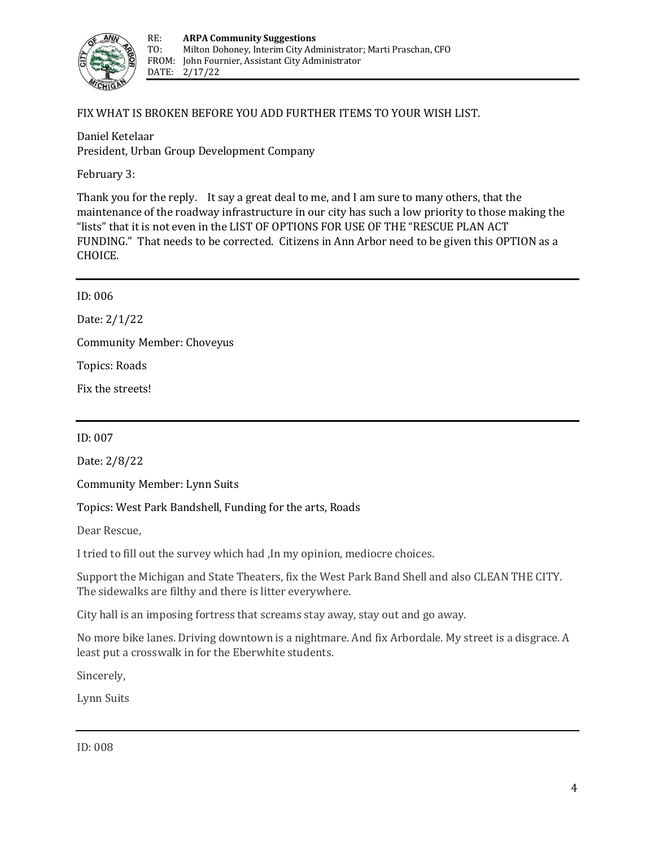

#### FIX WHAT IS BROKEN BEFORE YOU ADD FURTHER ITEMS TO YOUR WISH LIST.

Daniel Ketelaar President, Urban Group Development Company

February 3:

Thank you for the reply. It say a great deal to me, and I am sure to many others, that the maintenance of the roadway infrastructure in our city has such a low priority to those making the "lists" that it is not even in the LIST OF OPTIONS FOR USE OF THE "RESCUE PLAN ACT FUNDING." That needs to be corrected. Citizens in Ann Arbor need to be given this OPTION as a CHOICE.

| Fix the streets!                  |  |
|-----------------------------------|--|
| Topics: Roads                     |  |
| <b>Community Member: Choveyus</b> |  |
| Date: $2/1/22$                    |  |
| ID: 006                           |  |

ID: 007

Date: 2/8/22

Community Member: Lynn Suits

Topics: West Park Bandshell, Funding for the arts, Roads

Dear Rescue,

I tried to fill out the survey which had ,In my opinion, mediocre choices.

Support the Michigan and State Theaters, fix the West Park Band Shell and also CLEAN THE CITY. The sidewalks are filthy and there is litter everywhere.

City hall is an imposing fortress that screams stay away, stay out and go away.

No more bike lanes. Driving downtown is a nightmare. And fix Arbordale. My street is a disgrace. A least put a crosswalk in for the Eberwhite students.

Sincerely,

Lynn Suits

ID: 008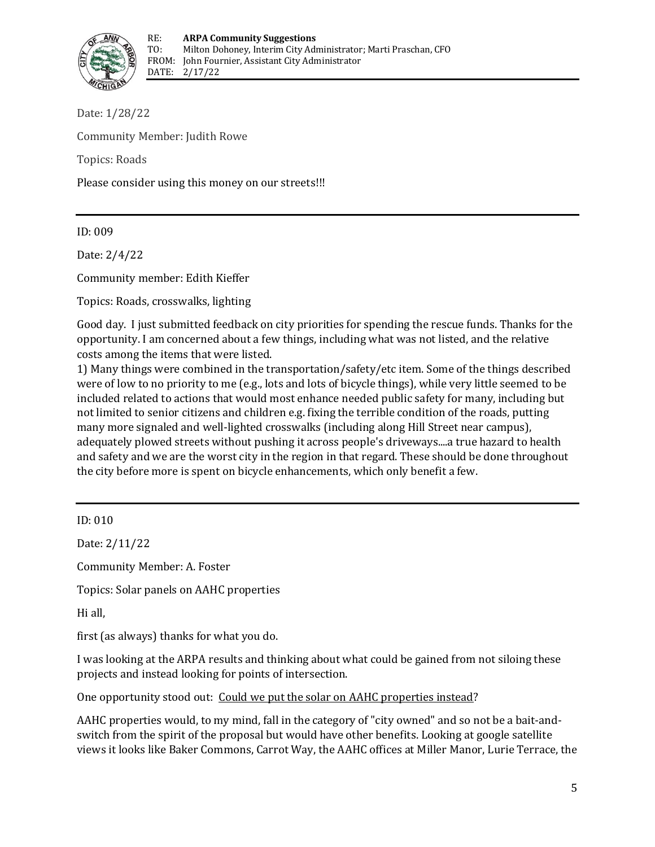

Date: 1/28/22 Community Member: Judith Rowe Topics: Roads Please consider using this money on our streets!!!

ID: 009

Date: 2/4/22

Community member: Edith Kieffer

Topics: Roads, crosswalks, lighting

Good day. I just submitted feedback on city priorities for spending the rescue funds. Thanks for the opportunity. I am concerned about a few things, including what was not listed, and the relative costs among the items that were listed.

1) Many things were combined in the transportation/safety/etc item. Some of the things described were of low to no priority to me (e.g., lots and lots of bicycle things), while very little seemed to be included related to actions that would most enhance needed public safety for many, including but not limited to senior citizens and children e.g. fixing the terrible condition of the roads, putting many more signaled and well-lighted crosswalks (including along Hill Street near campus), adequately plowed streets without pushing it across people's driveways....a true hazard to health and safety and we are the worst city in the region in that regard. These should be done throughout the city before more is spent on bicycle enhancements, which only benefit a few.

ID: 010

Date: 2/11/22

Community Member: A. Foster

Topics: Solar panels on AAHC properties

Hi all,

first (as always) thanks for what you do.

I was looking at the ARPA results and thinking about what could be gained from not siloing these projects and instead looking for points of intersection.

One opportunity stood out: Could we put the solar on AAHC properties instead?

AAHC properties would, to my mind, fall in the category of "city owned" and so not be a bait‐and‐ switch from the spirit of the proposal but would have other benefits. Looking at google satellite views it looks like Baker Commons, Carrot Way, the AAHC offices at Miller Manor, Lurie Terrace, the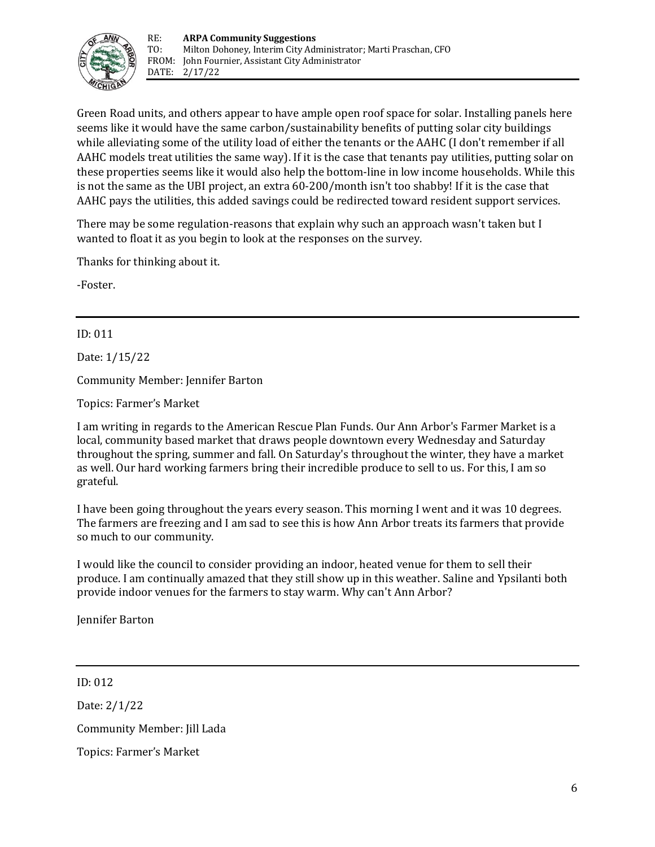

Green Road units, and others appear to have ample open roof space for solar. Installing panels here seems like it would have the same carbon/sustainability benefits of putting solar city buildings while alleviating some of the utility load of either the tenants or the AAHC (I don't remember if all AAHC models treat utilities the same way). If it is the case that tenants pay utilities, putting solar on these properties seems like it would also help the bottom‐line in low income households. While this is not the same as the UBI project, an extra 60‐200/month isn't too shabby! If it is the case that AAHC pays the utilities, this added savings could be redirected toward resident support services.

There may be some regulation-reasons that explain why such an approach wasn't taken but I wanted to float it as you begin to look at the responses on the survey.

Thanks for thinking about it.

‐Foster.

ID: 011

Date: 1/15/22

Community Member: Jennifer Barton

Topics: Farmer's Market

I am writing in regards to the American Rescue Plan Funds. Our Ann Arbor's Farmer Market is a local, community based market that draws people downtown every Wednesday and Saturday throughout the spring, summer and fall. On Saturday's throughout the winter, they have a market as well. Our hard working farmers bring their incredible produce to sell to us. For this, I am so grateful.

I have been going throughout the years every season. This morning I went and it was 10 degrees. The farmers are freezing and I am sad to see this is how Ann Arbor treats its farmers that provide so much to our community.

I would like the council to consider providing an indoor, heated venue for them to sell their produce. I am continually amazed that they still show up in this weather. Saline and Ypsilanti both provide indoor venues for the farmers to stay warm. Why can't Ann Arbor?

Jennifer Barton

ID: 012

Date: 2/1/22 Community Member: Jill Lada Topics: Farmer's Market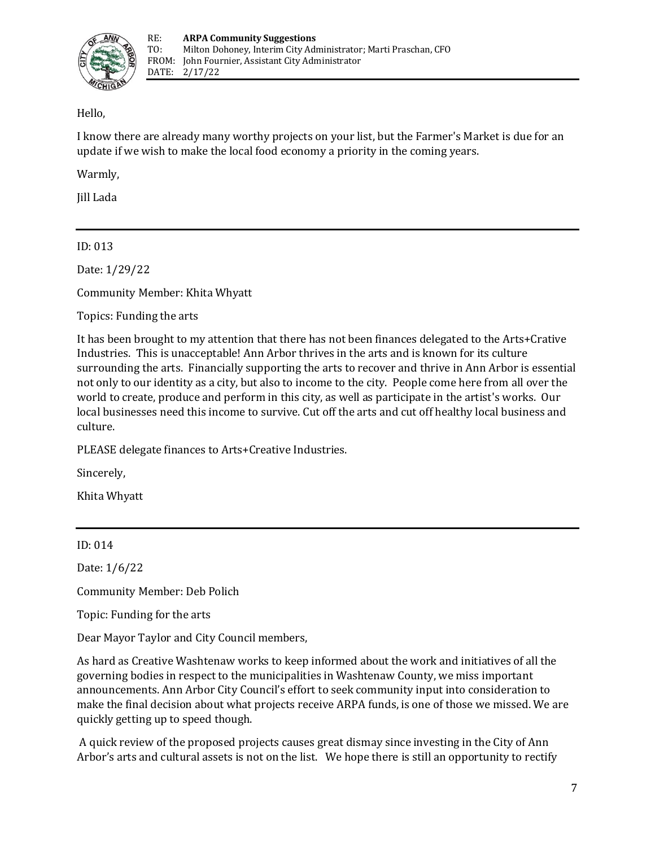

### Hello,

I know there are already many worthy projects on your list, but the Farmer's Market is due for an update if we wish to make the local food economy a priority in the coming years.

Warmly,

Jill Lada

ID: 013

Date: 1/29/22

Community Member: Khita Whyatt

Topics: Funding the arts

It has been brought to my attention that there has not been finances delegated to the Arts+Crative Industries. This is unacceptable! Ann Arbor thrives in the arts and is known for its culture surrounding the arts. Financially supporting the arts to recover and thrive in Ann Arbor is essential not only to our identity as a city, but also to income to the city. People come here from all over the world to create, produce and perform in this city, as well as participate in the artist's works. Our local businesses need this income to survive. Cut off the arts and cut off healthy local business and culture.

PLEASE delegate finances to Arts+Creative Industries.

Sincerely,

Khita Whyatt

#### ID: 014

Date: 1/6/22

Community Member: Deb Polich

Topic: Funding for the arts

Dear Mayor Taylor and City Council members,

As hard as Creative Washtenaw works to keep informed about the work and initiatives of all the governing bodies in respect to the municipalities in Washtenaw County, we miss important announcements. Ann Arbor City Council's effort to seek community input into consideration to make the final decision about what projects receive ARPA funds, is one of those we missed. We are quickly getting up to speed though.

A quick review of the proposed projects causes great dismay since investing in the City of Ann Arbor's arts and cultural assets is not on the list. We hope there is still an opportunity to rectify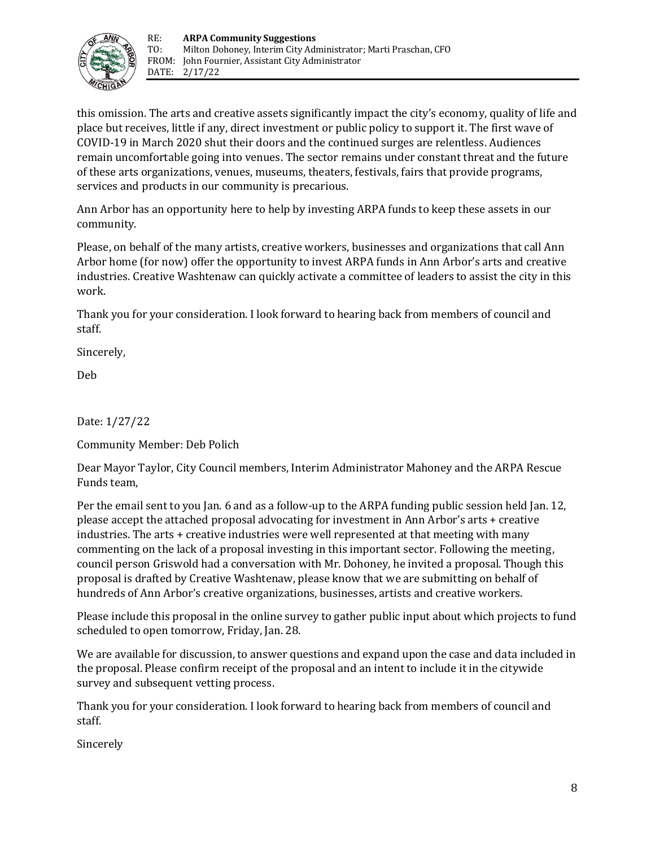

this omission. The arts and creative assets significantly impact the city's economy, quality of life and place but receives, little if any, direct investment or public policy to support it. The first wave of COVID‐19 in March 2020 shut their doors and the continued surges are relentless. Audiences remain uncomfortable going into venues. The sector remains under constant threat and the future of these arts organizations, venues, museums, theaters, festivals, fairs that provide programs, services and products in our community is precarious.

Ann Arbor has an opportunity here to help by investing ARPA funds to keep these assets in our community.

Please, on behalf of the many artists, creative workers, businesses and organizations that call Ann Arbor home (for now) offer the opportunity to invest ARPA funds in Ann Arbor's arts and creative industries. Creative Washtenaw can quickly activate a committee of leaders to assist the city in this work.

Thank you for your consideration. I look forward to hearing back from members of council and staff.

Sincerely,

Deb

Date: 1/27/22

Community Member: Deb Polich

Dear Mayor Taylor, City Council members, Interim Administrator Mahoney and the ARPA Rescue Funds team,

Per the email sent to you Jan. 6 and as a follow-up to the ARPA funding public session held Jan. 12, please accept the attached proposal advocating for investment in Ann Arbor's arts + creative industries. The arts + creative industries were well represented at that meeting with many commenting on the lack of a proposal investing in this important sector. Following the meeting, council person Griswold had a conversation with Mr. Dohoney, he invited a proposal. Though this proposal is drafted by Creative Washtenaw, please know that we are submitting on behalf of hundreds of Ann Arbor's creative organizations, businesses, artists and creative workers.

Please include this proposal in the online survey to gather public input about which projects to fund scheduled to open tomorrow, Friday, Jan. 28.

We are available for discussion, to answer questions and expand upon the case and data included in the proposal. Please confirm receipt of the proposal and an intent to include it in the citywide survey and subsequent vetting process.

Thank you for your consideration. I look forward to hearing back from members of council and staff.

Sincerely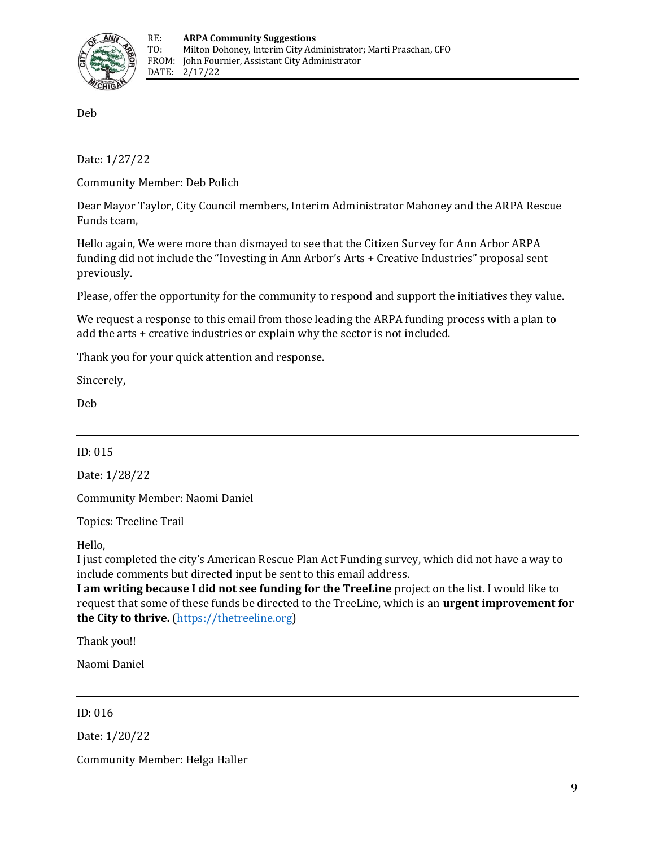

Deb

Date: 1/27/22

Community Member: Deb Polich

Dear Mayor Taylor, City Council members, Interim Administrator Mahoney and the ARPA Rescue Funds team,

Hello again, We were more than dismayed to see that the Citizen Survey for Ann Arbor ARPA funding did not include the "Investing in Ann Arbor's Arts + Creative Industries" proposal sent previously.

Please, offer the opportunity for the community to respond and support the initiatives they value.

We request a response to this email from those leading the ARPA funding process with a plan to add the arts + creative industries or explain why the sector is not included.

Thank you for your quick attention and response.

Sincerely,

Deb

ID: 015

Date: 1/28/22

Community Member: Naomi Daniel

Topics: Treeline Trail

Hello,

I just completed the city's American Rescue Plan Act Funding survey, which did not have a way to include comments but directed input be sent to this email address.

**I am writing because I did not see funding for the TreeLine** project on the list. I would like to request that some of these funds be directed to the TreeLine, which is an **urgent improvement for the City to thrive.** [\(https://thetreeline.org\)](https://thetreeline.org/)

Thank you!!

Naomi Daniel

ID: 016

Date: 1/20/22

Community Member: Helga Haller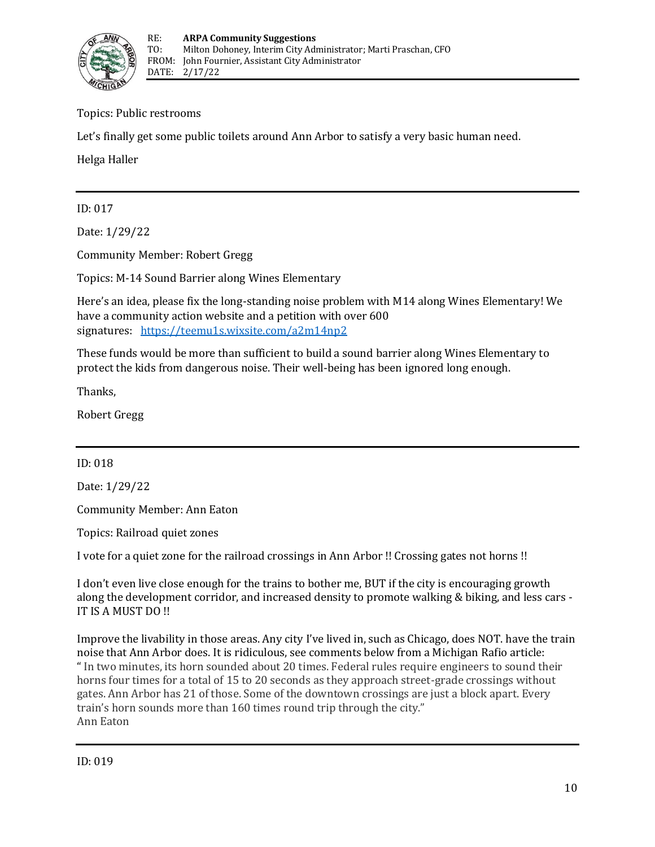

Topics: Public restrooms

Let's finally get some public toilets around Ann Arbor to satisfy a very basic human need.

Helga Haller

ID: 017

Date: 1/29/22

Community Member: Robert Gregg

Topics: M-14 Sound Barrier along Wines Elementary

Here's an idea, please fix the long-standing noise problem with M14 along Wines Elementary! We have a community action website and a petition with over 600 signatures: <https://teemu1s.wixsite.com/a2m14np2>

These funds would be more than sufficient to build a sound barrier along Wines Elementary to protect the kids from dangerous noise. Their well‐being has been ignored long enough.

Thanks,

Robert Gregg

ID: 018

Date: 1/29/22

Community Member: Ann Eaton

Topics: Railroad quiet zones

I vote for a quiet zone for the railroad crossings in Ann Arbor !! Crossing gates not horns !!

I don't even live close enough for the trains to bother me, BUT if the city is encouraging growth along the development corridor, and increased density to promote walking & biking, and less cars - IT IS A MUST DO !!

Improve the livability in those areas. Any city I've lived in, such as Chicago, does NOT. have the train noise that Ann Arbor does. It is ridiculous, see comments below from a Michigan Rafio article: " In two minutes, its horn sounded about 20 times. Federal rules require engineers to sound their horns four times for a total of 15 to 20 seconds as they approach street-grade crossings without gates. Ann Arbor has 21 of those. Some of the downtown crossings are just a block apart. Every train's horn sounds more than 160 times round trip through the city." Ann Eaton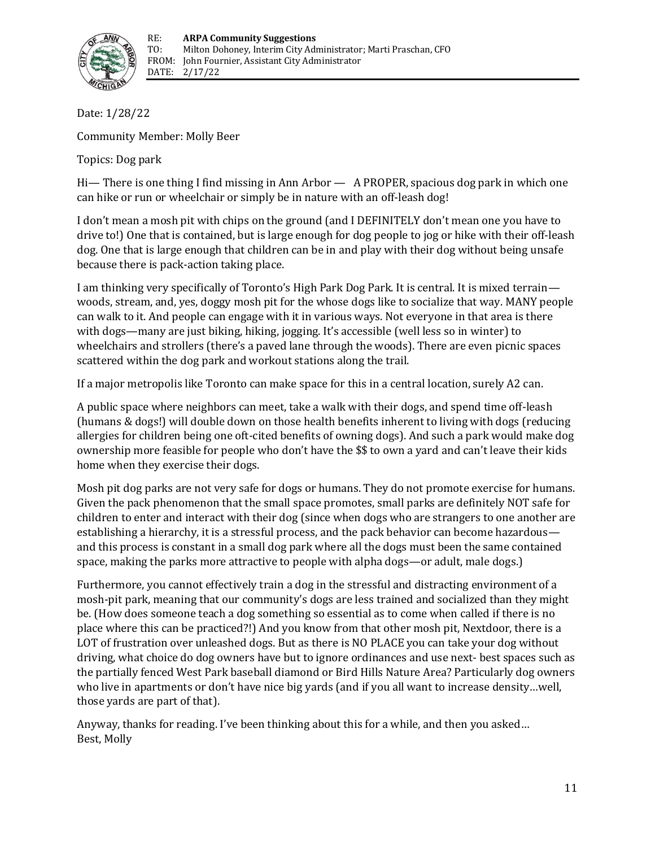

Date: 1/28/22

Community Member: Molly Beer

Topics: Dog park

Hi— There is one thing I find missing in Ann Arbor — A PROPER, spacious dog park in which one can hike or run or wheelchair or simply be in nature with an off-leash dog!

I don't mean a mosh pit with chips on the ground (and I DEFINITELY don't mean one you have to drive to!) One that is contained, but is large enough for dog people to jog or hike with their off‐leash dog. One that is large enough that children can be in and play with their dog without being unsafe because there is pack‐action taking place.

I am thinking very specifically of Toronto's High Park Dog Park. It is central. It is mixed terrain woods, stream, and, yes, doggy mosh pit for the whose dogs like to socialize that way. MANY people can walk to it. And people can engage with it in various ways. Not everyone in that area is there with dogs—many are just biking, hiking, jogging. It's accessible (well less so in winter) to wheelchairs and strollers (there's a paved lane through the woods). There are even picnic spaces scattered within the dog park and workout stations along the trail.

If a major metropolis like Toronto can make space for this in a central location, surely A2 can.

A public space where neighbors can meet, take a walk with their dogs, and spend time off‐leash (humans & dogs!) will double down on those health benefits inherent to living with dogs (reducing allergies for children being one oft‐cited benefits of owning dogs). And such a park would make dog ownership more feasible for people who don't have the \$\$ to own a yard and can't leave their kids home when they exercise their dogs.

Mosh pit dog parks are not very safe for dogs or humans. They do not promote exercise for humans. Given the pack phenomenon that the small space promotes, small parks are definitely NOT safe for children to enter and interact with their dog (since when dogs who are strangers to one another are establishing a hierarchy, it is a stressful process, and the pack behavior can become hazardous and this process is constant in a small dog park where all the dogs must been the same contained space, making the parks more attractive to people with alpha dogs—or adult, male dogs.)

Furthermore, you cannot effectively train a dog in the stressful and distracting environment of a mosh-pit park, meaning that our community's dogs are less trained and socialized than they might be. (How does someone teach a dog something so essential as to come when called if there is no place where this can be practiced?!) And you know from that other mosh pit, Nextdoor, there is a LOT of frustration over unleashed dogs. But as there is NO PLACE you can take your dog without driving, what choice do dog owners have but to ignore ordinances and use next‐ best spaces such as the partially fenced West Park baseball diamond or Bird Hills Nature Area? Particularly dog owners who live in apartments or don't have nice big yards (and if you all want to increase density…well, those yards are part of that).

Anyway, thanks for reading. I've been thinking about this for a while, and then you asked… Best, Molly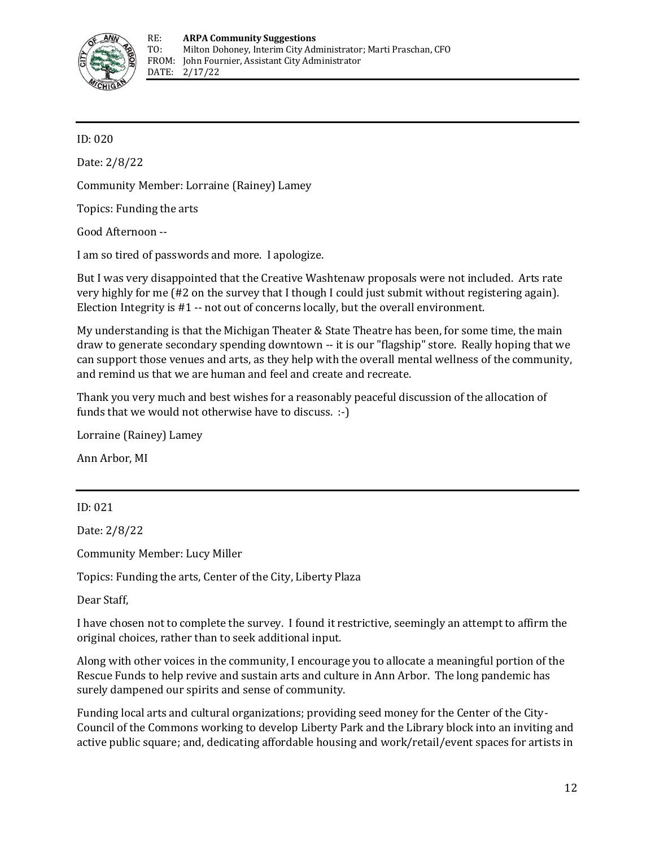

ID: 020

Date: 2/8/22

Community Member: Lorraine (Rainey) Lamey

Topics: Funding the arts

Good Afternoon --

I am so tired of passwords and more. I apologize.

But I was very disappointed that the Creative Washtenaw proposals were not included. Arts rate very highly for me (#2 on the survey that I though I could just submit without registering again). Election Integrity is #1 -- not out of concerns locally, but the overall environment.

My understanding is that the Michigan Theater & State Theatre has been, for some time, the main draw to generate secondary spending downtown -- it is our "flagship" store. Really hoping that we can support those venues and arts, as they help with the overall mental wellness of the community, and remind us that we are human and feel and create and recreate.

Thank you very much and best wishes for a reasonably peaceful discussion of the allocation of funds that we would not otherwise have to discuss. :-)

Lorraine (Rainey) Lamey

Ann Arbor, MI

ID: 021

Date: 2/8/22

Community Member: Lucy Miller

Topics: Funding the arts, Center of the City, Liberty Plaza

Dear Staff,

I have chosen not to complete the survey. I found it restrictive, seemingly an attempt to affirm the original choices, rather than to seek additional input.

Along with other voices in the community, I encourage you to allocate a meaningful portion of the Rescue Funds to help revive and sustain arts and culture in Ann Arbor. The long pandemic has surely dampened our spirits and sense of community.

Funding local arts and cultural organizations; providing seed money for the Center of the City-Council of the Commons working to develop Liberty Park and the Library block into an inviting and active public square; and, dedicating affordable housing and work/retail/event spaces for artists in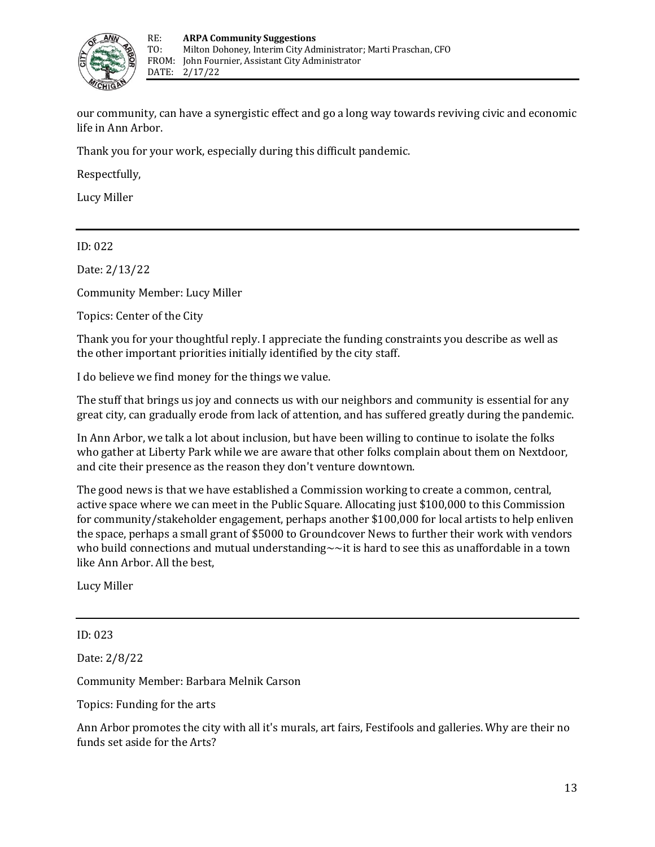

our community, can have a synergistic effect and go a long way towards reviving civic and economic life in Ann Arbor.

Thank you for your work, especially during this difficult pandemic.

Respectfully,

Lucy Miller

ID: 022

Date: 2/13/22

Community Member: Lucy Miller

Topics: Center of the City

Thank you for your thoughtful reply. I appreciate the funding constraints you describe as well as the other important priorities initially identified by the city staff.

I do believe we find money for the things we value.

The stuff that brings us joy and connects us with our neighbors and community is essential for any great city, can gradually erode from lack of attention, and has suffered greatly during the pandemic.

In Ann Arbor, we talk a lot about inclusion, but have been willing to continue to isolate the folks who gather at Liberty Park while we are aware that other folks complain about them on Nextdoor, and cite their presence as the reason they don't venture downtown.

The good news is that we have established a Commission working to create a common, central, active space where we can meet in the Public Square. Allocating just \$100,000 to this Commission for community/stakeholder engagement, perhaps another \$100,000 for local artists to help enliven the space, perhaps a small grant of \$5000 to Groundcover News to further their work with vendors who build connections and mutual understanding $\sim$   $\sim$ it is hard to see this as unaffordable in a town like Ann Arbor. All the best,

Lucy Miller

ID: 023

Date: 2/8/22

Community Member: Barbara Melnik Carson

Topics: Funding for the arts

Ann Arbor promotes the city with all it's murals, art fairs, Festifools and galleries. Why are their no funds set aside for the Arts?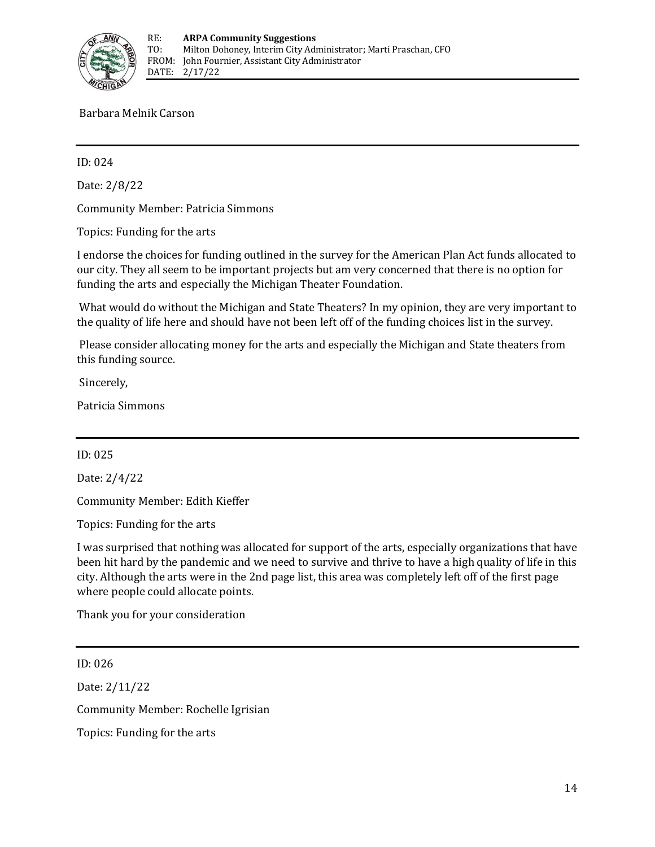

Barbara Melnik Carson

ID: 024

Date: 2/8/22

Community Member: Patricia Simmons

Topics: Funding for the arts

I endorse the choices for funding outlined in the survey for the American Plan Act funds allocated to our city. They all seem to be important projects but am very concerned that there is no option for funding the arts and especially the Michigan Theater Foundation.

What would do without the Michigan and State Theaters? In my opinion, they are very important to the quality of life here and should have not been left off of the funding choices list in the survey.

Please consider allocating money for the arts and especially the Michigan and State theaters from this funding source.

Sincerely,

Patricia Simmons

ID: 025

Date: 2/4/22

Community Member: Edith Kieffer

Topics: Funding for the arts

I was surprised that nothing was allocated for support of the arts, especially organizations that have been hit hard by the pandemic and we need to survive and thrive to have a high quality of life in this city. Although the arts were in the 2nd page list, this area was completely left off of the first page where people could allocate points.

Thank you for your consideration

ID: 026

Date: 2/11/22 Community Member: Rochelle Igrisian Topics: Funding for the arts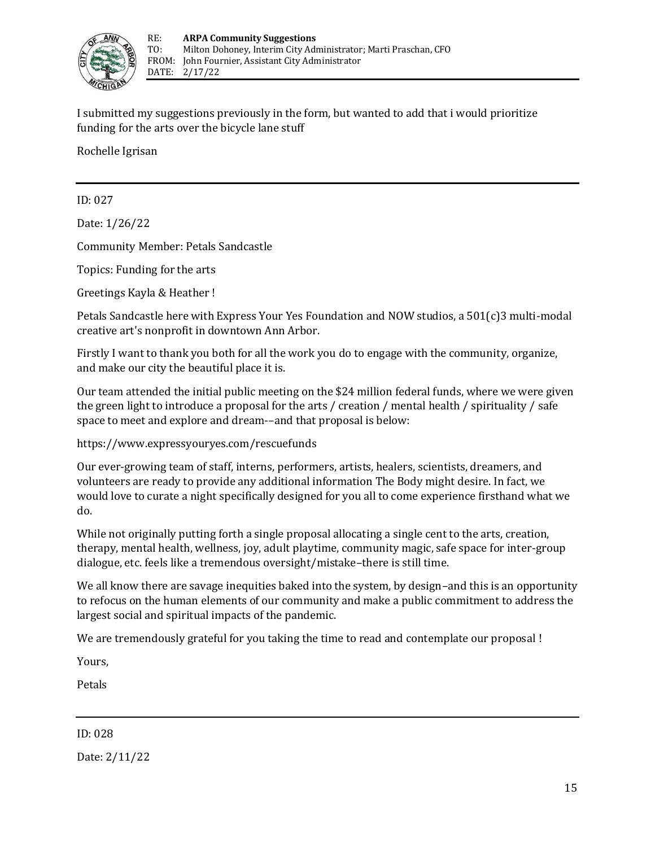

I submitted my suggestions previously in the form, but wanted to add that i would prioritize funding for the arts over the bicycle lane stuff

Rochelle Igrisan

ID: 027

Date: 1/26/22

Community Member: Petals Sandcastle

Topics: Funding for the arts

Greetings Kayla & Heather !

Petals Sandcastle here with Express Your Yes Foundation and NOW studios, a 501(c)3 multi-modal creative art's nonprofit in downtown Ann Arbor.

Firstly I want to thank you both for all the work you do to engage with the community, organize, and make our city the beautiful place it is.

Our team attended the initial public meeting on the \$24 million federal funds, where we were given the green light to introduce a proposal for the arts / creation / mental health / spirituality / safe space to meet and explore and dream-–and that proposal is below:

https://www.expressyouryes.com/rescuefunds

Our ever-growing team of staff, interns, performers, artists, healers, scientists, dreamers, and volunteers are ready to provide any additional information The Body might desire. In fact, we would love to curate a night specifically designed for you all to come experience firsthand what we do.

While not originally putting forth a single proposal allocating a single cent to the arts, creation, therapy, mental health, wellness, joy, adult playtime, community magic, safe space for inter-group dialogue, etc. feels like a tremendous oversight/mistake–there is still time.

We all know there are savage inequities baked into the system, by design–and this is an opportunity to refocus on the human elements of our community and make a public commitment to address the largest social and spiritual impacts of the pandemic.

We are tremendously grateful for you taking the time to read and contemplate our proposal !

Yours,

Petals

ID: 028

Date: 2/11/22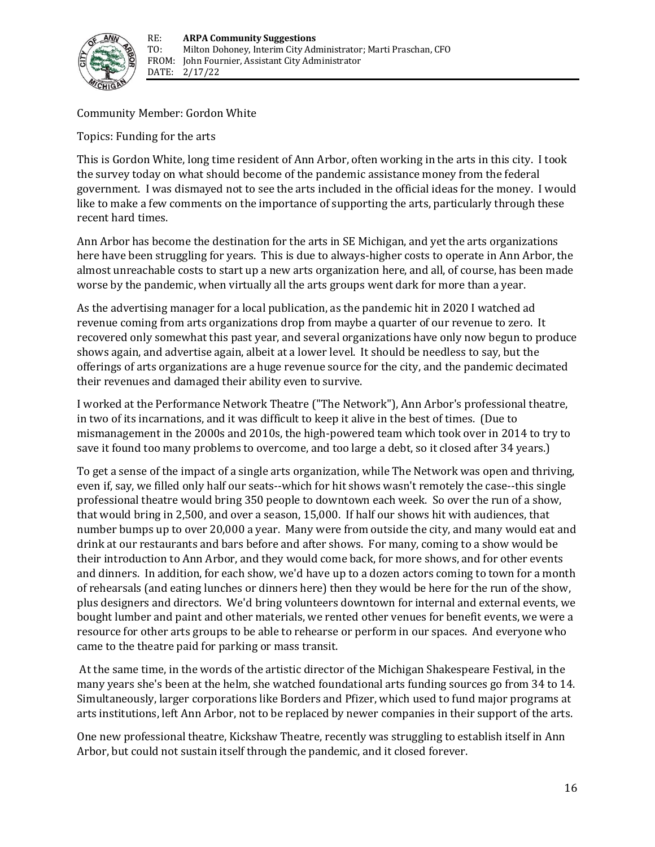

Community Member: Gordon White

Topics: Funding for the arts

This is Gordon White, long time resident of Ann Arbor, often working in the arts in this city. I took the survey today on what should become of the pandemic assistance money from the federal government. I was dismayed not to see the arts included in the official ideas for the money. I would like to make a few comments on the importance of supporting the arts, particularly through these recent hard times.

Ann Arbor has become the destination for the arts in SE Michigan, and yet the arts organizations here have been struggling for years. This is due to always-higher costs to operate in Ann Arbor, the almost unreachable costs to start up a new arts organization here, and all, of course, has been made worse by the pandemic, when virtually all the arts groups went dark for more than a year.

As the advertising manager for a local publication, as the pandemic hit in 2020 I watched ad revenue coming from arts organizations drop from maybe a quarter of our revenue to zero. It recovered only somewhat this past year, and several organizations have only now begun to produce shows again, and advertise again, albeit at a lower level. It should be needless to say, but the offerings of arts organizations are a huge revenue source for the city, and the pandemic decimated their revenues and damaged their ability even to survive.

I worked at the Performance Network Theatre ("The Network"), Ann Arbor's professional theatre, in two of its incarnations, and it was difficult to keep it alive in the best of times. (Due to mismanagement in the 2000s and 2010s, the high‐powered team which took over in 2014 to try to save it found too many problems to overcome, and too large a debt, so it closed after 34 years.)

To get a sense of the impact of a single arts organization, while The Network was open and thriving, even if, say, we filled only half our seats--which for hit shows wasn't remotely the case--this single professional theatre would bring 350 people to downtown each week. So over the run of a show, that would bring in 2,500, and over a season, 15,000. If half our shows hit with audiences, that number bumps up to over 20,000 a year. Many were from outside the city, and many would eat and drink at our restaurants and bars before and after shows. For many, coming to a show would be their introduction to Ann Arbor, and they would come back, for more shows, and for other events and dinners. In addition, for each show, we'd have up to a dozen actors coming to town for a month of rehearsals (and eating lunches or dinners here) then they would be here for the run of the show, plus designers and directors. We'd bring volunteers downtown for internal and external events, we bought lumber and paint and other materials, we rented other venues for benefit events, we were a resource for other arts groups to be able to rehearse or perform in our spaces. And everyone who came to the theatre paid for parking or mass transit.

At the same time, in the words of the artistic director of the Michigan Shakespeare Festival, in the many years she's been at the helm, she watched foundational arts funding sources go from 34 to 14. Simultaneously, larger corporations like Borders and Pfizer, which used to fund major programs at arts institutions, left Ann Arbor, not to be replaced by newer companies in their support of the arts.

One new professional theatre, Kickshaw Theatre, recently was struggling to establish itself in Ann Arbor, but could not sustain itself through the pandemic, and it closed forever.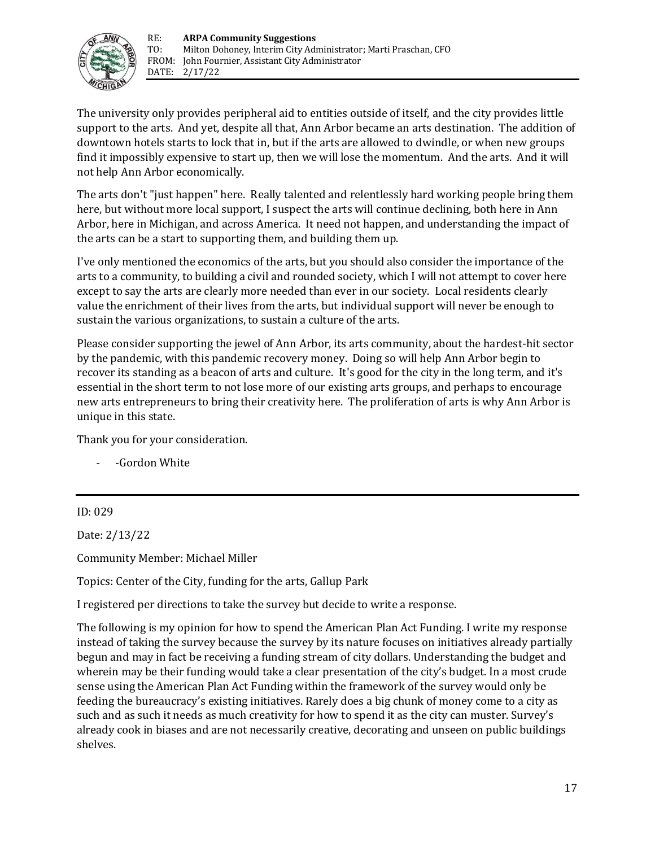

The university only provides peripheral aid to entities outside of itself, and the city provides little support to the arts. And yet, despite all that, Ann Arbor became an arts destination. The addition of downtown hotels starts to lock that in, but if the arts are allowed to dwindle, or when new groups find it impossibly expensive to start up, then we will lose the momentum. And the arts. And it will not help Ann Arbor economically.

The arts don't "just happen" here. Really talented and relentlessly hard working people bring them here, but without more local support, I suspect the arts will continue declining, both here in Ann Arbor, here in Michigan, and across America. It need not happen, and understanding the impact of the arts can be a start to supporting them, and building them up.

I've only mentioned the economics of the arts, but you should also consider the importance of the arts to a community, to building a civil and rounded society, which I will not attempt to cover here except to say the arts are clearly more needed than ever in our society. Local residents clearly value the enrichment of their lives from the arts, but individual support will never be enough to sustain the various organizations, to sustain a culture of the arts.

Please consider supporting the jewel of Ann Arbor, its arts community, about the hardest‐hit sector by the pandemic, with this pandemic recovery money. Doing so will help Ann Arbor begin to recover its standing as a beacon of arts and culture. It's good for the city in the long term, and it's essential in the short term to not lose more of our existing arts groups, and perhaps to encourage new arts entrepreneurs to bring their creativity here. The proliferation of arts is why Ann Arbor is unique in this state.

Thank you for your consideration.

- -Gordon White

ID: 029

Date: 2/13/22

Community Member: Michael Miller

Topics: Center of the City, funding for the arts, Gallup Park

I registered per directions to take the survey but decide to write a response.

The following is my opinion for how to spend the American Plan Act Funding. I write my response instead of taking the survey because the survey by its nature focuses on initiatives already partially begun and may in fact be receiving a funding stream of city dollars. Understanding the budget and wherein may be their funding would take a clear presentation of the city's budget. In a most crude sense using the American Plan Act Funding within the framework of the survey would only be feeding the bureaucracy's existing initiatives. Rarely does a big chunk of money come to a city as such and as such it needs as much creativity for how to spend it as the city can muster. Survey's already cook in biases and are not necessarily creative, decorating and unseen on public buildings shelves.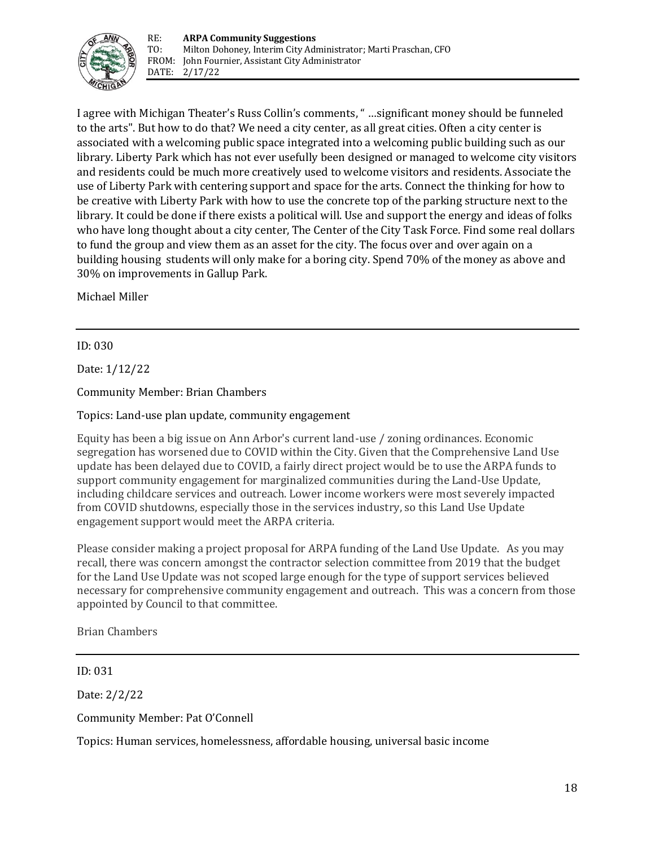

I agree with Michigan Theater's Russ Collin's comments, " …significant money should be funneled to the arts". But how to do that? We need a city center, as all great cities. Often a city center is associated with a welcoming public space integrated into a welcoming public building such as our library. Liberty Park which has not ever usefully been designed or managed to welcome city visitors and residents could be much more creatively used to welcome visitors and residents. Associate the use of Liberty Park with centering support and space for the arts. Connect the thinking for how to be creative with Liberty Park with how to use the concrete top of the parking structure next to the library. It could be done if there exists a political will. Use and support the energy and ideas of folks who have long thought about a city center, The Center of the City Task Force. Find some real dollars to fund the group and view them as an asset for the city. The focus over and over again on a building housing students will only make for a boring city. Spend 70% of the money as above and 30% on improvements in Gallup Park.

Michael Miller

#### ID: 030

Date: 1/12/22

Community Member: Brian Chambers

Topics: Land-use plan update, community engagement

Equity has been a big issue on Ann Arbor's current land-use / zoning ordinances. Economic segregation has worsened due to COVID within the City. Given that the Comprehensive Land Use update has been delayed due to COVID, a fairly direct project would be to use the ARPA funds to support community engagement for marginalized communities during the Land-Use Update, including childcare services and outreach. Lower income workers were most severely impacted from COVID shutdowns, especially those in the services industry, so this Land Use Update engagement support would meet the ARPA criteria.

Please consider making a project proposal for ARPA funding of the Land Use Update.   As you may recall, there was concern amongst the contractor selection committee from 2019 that the budget for the Land Use Update was not scoped large enough for the type of support services believed necessary for comprehensive community engagement and outreach.  This was a concern from those appointed by Council to that committee. 

Brian Chambers

ID: 031

Date: 2/2/22

Community Member: Pat O'Connell

Topics: Human services, homelessness, affordable housing, universal basic income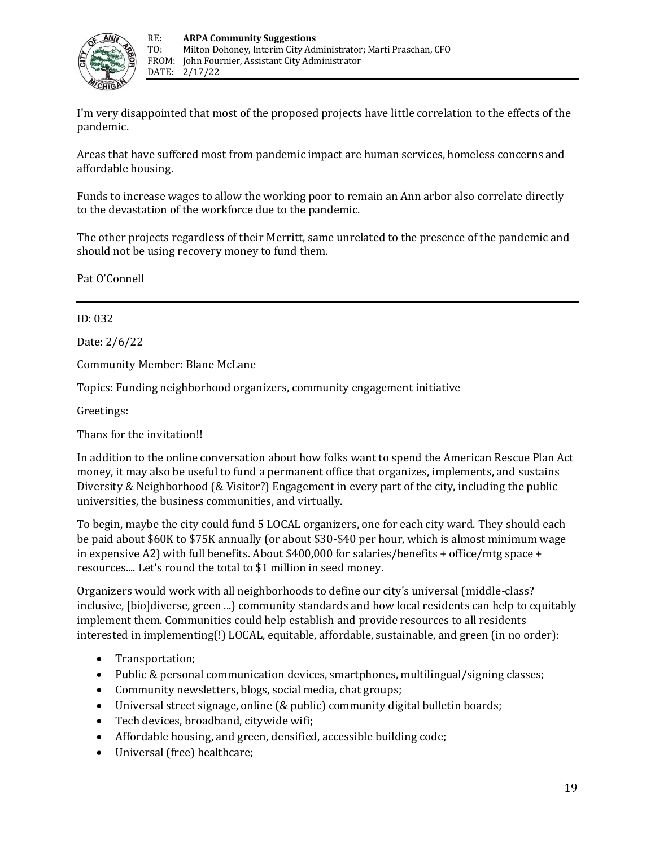

I'm very disappointed that most of the proposed projects have little correlation to the effects of the pandemic.

Areas that have suffered most from pandemic impact are human services, homeless concerns and affordable housing.

Funds to increase wages to allow the working poor to remain an Ann arbor also correlate directly to the devastation of the workforce due to the pandemic.

The other projects regardless of their Merritt, same unrelated to the presence of the pandemic and should not be using recovery money to fund them.

Pat O'Connell

ID: 032

Date: 2/6/22

Community Member: Blane McLane

Topics: Funding neighborhood organizers, community engagement initiative

Greetings:

Thanx for the invitation!!

In addition to the online conversation about how folks want to spend the American Rescue Plan Act money, it may also be useful to fund a permanent office that organizes, implements, and sustains Diversity & Neighborhood (& Visitor?) Engagement in every part of the city, including the public universities, the business communities, and virtually.

To begin, maybe the city could fund 5 LOCAL organizers, one for each city ward. They should each be paid about \$60K to \$75K annually (or about \$30-\$40 per hour, which is almost minimum wage in expensive A2) with full benefits. About  $$400,000$  for salaries/benefits + office/mtg space + resources.... Let's round the total to \$1 million in seed money.

Organizers would work with all neighborhoods to define our city's universal (middle-class? inclusive, [bio]diverse, green ...) community standards and how local residents can help to equitably implement them. Communities could help establish and provide resources to all residents interested in implementing(!) LOCAL, equitable, affordable, sustainable, and green (in no order):

- Transportation;
- Public & personal communication devices, smartphones, multilingual/signing classes;
- Community newsletters, blogs, social media, chat groups;
- Universal street signage, online (& public) community digital bulletin boards;
- Tech devices, broadband, citywide wifi;
- Affordable housing, and green, densified, accessible building code;
- Universal (free) healthcare;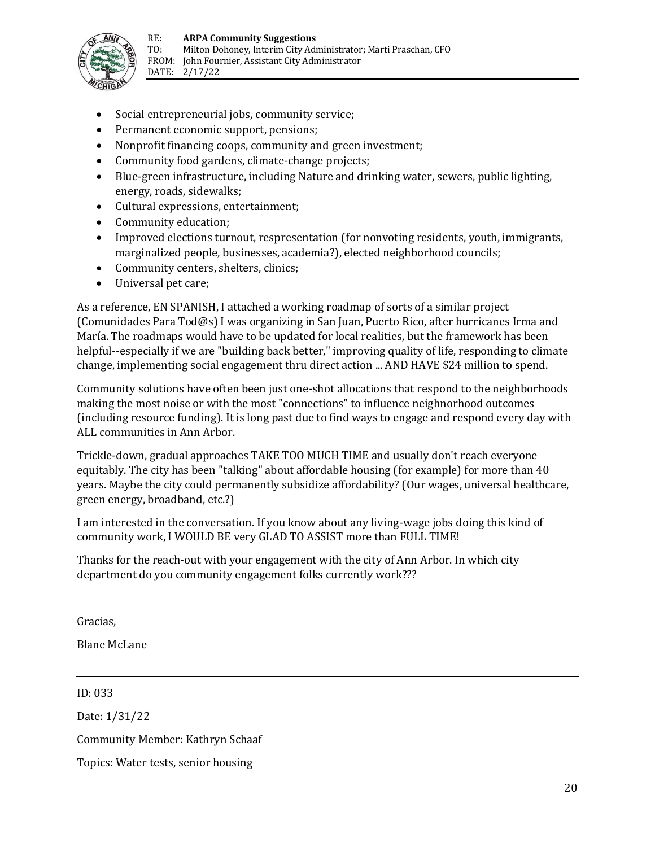

- Social entrepreneurial jobs, community service;
- Permanent economic support, pensions;
- Nonprofit financing coops, community and green investment;
- Community food gardens, climate-change projects;
- Blue-green infrastructure, including Nature and drinking water, sewers, public lighting, energy, roads, sidewalks;
- Cultural expressions, entertainment;
- Community education;
- Improved elections turnout, respresentation (for nonvoting residents, youth, immigrants, marginalized people, businesses, academia?), elected neighborhood councils;
- Community centers, shelters, clinics;
- Universal pet care;

As a reference, EN SPANISH, I attached a working roadmap of sorts of a similar project (Comunidades Para Tod@s) I was organizing in San Juan, Puerto Rico, after hurricanes Irma and María. The roadmaps would have to be updated for local realities, but the framework has been helpful--especially if we are "building back better," improving quality of life, responding to climate change, implementing social engagement thru direct action ... AND HAVE \$24 million to spend.

Community solutions have often been just one-shot allocations that respond to the neighborhoods making the most noise or with the most "connections" to influence neighnorhood outcomes (including resource funding). It is long past due to find ways to engage and respond every day with ALL communities in Ann Arbor.

Trickle-down, gradual approaches TAKE TOO MUCH TIME and usually don't reach everyone equitably. The city has been "talking" about affordable housing (for example) for more than 40 years. Maybe the city could permanently subsidize affordability? (Our wages, universal healthcare, green energy, broadband, etc.?)

I am interested in the conversation. If you know about any living-wage jobs doing this kind of community work, I WOULD BE very GLAD TO ASSIST more than FULL TIME!

Thanks for the reach-out with your engagement with the city of Ann Arbor. In which city department do you community engagement folks currently work???

Gracias,

Blane McLane

ID: 033

Date: 1/31/22

Community Member: Kathryn Schaaf

Topics: Water tests, senior housing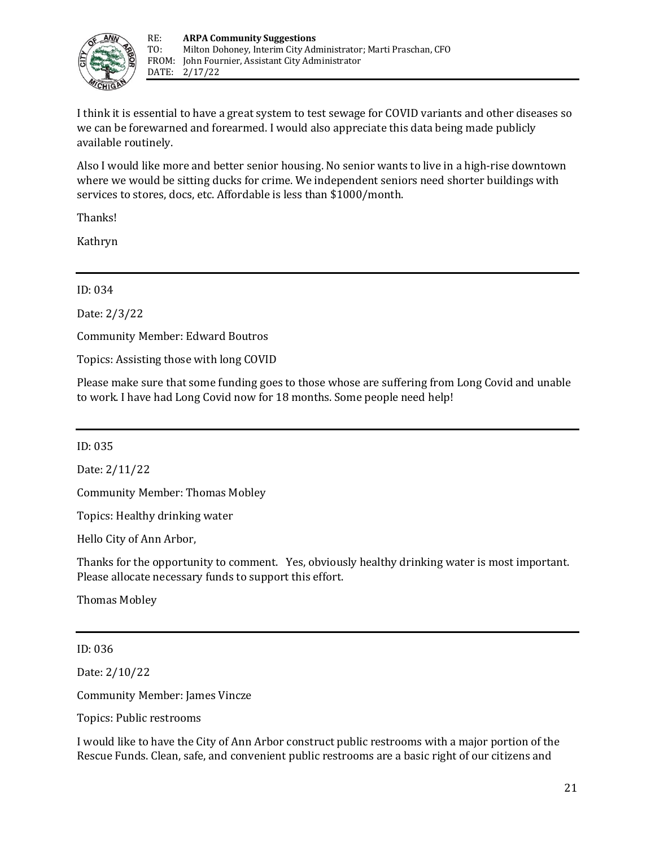

I think it is essential to have a great system to test sewage for COVID variants and other diseases so we can be forewarned and forearmed. I would also appreciate this data being made publicly available routinely.

Also I would like more and better senior housing. No senior wants to live in a high‐rise downtown where we would be sitting ducks for crime. We independent seniors need shorter buildings with services to stores, docs, etc. Affordable is less than \$1000/month.

Thanks!

Kathryn

ID: 034

Date: 2/3/22

Community Member: Edward Boutros

Topics: Assisting those with long COVID

Please make sure that some funding goes to those whose are suffering from Long Covid and unable to work. I have had Long Covid now for 18 months. Some people need help!

ID: 035

Date: 2/11/22

Community Member: Thomas Mobley

Topics: Healthy drinking water

Hello City of Ann Arbor,

Thanks for the opportunity to comment. Yes, obviously healthy drinking water is most important. Please allocate necessary funds to support this effort.

Thomas Mobley

ID: 036

Date: 2/10/22

Community Member: James Vincze

Topics: Public restrooms

I would like to have the City of Ann Arbor construct public restrooms with a major portion of the Rescue Funds. Clean, safe, and convenient public restrooms are a basic right of our citizens and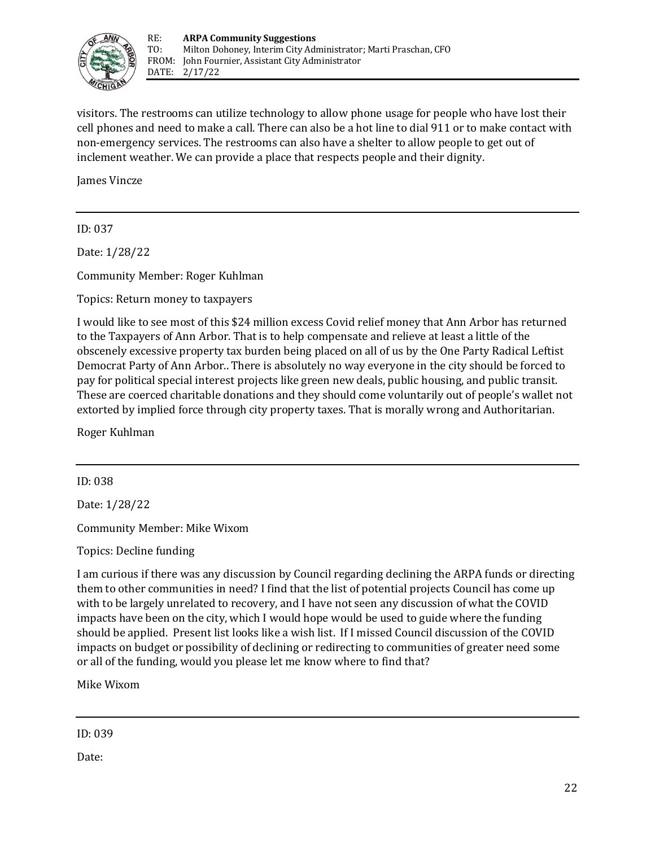

visitors. The restrooms can utilize technology to allow phone usage for people who have lost their cell phones and need to make a call. There can also be a hot line to dial 911 or to make contact with non-emergency services. The restrooms can also have a shelter to allow people to get out of inclement weather. We can provide a place that respects people and their dignity.

James Vincze

ID: 037

Date: 1/28/22

Community Member: Roger Kuhlman

Topics: Return money to taxpayers

I would like to see most of this \$24 million excess Covid relief money that Ann Arbor has returned to the Taxpayers of Ann Arbor. That is to help compensate and relieve at least a little of the obscenely excessive property tax burden being placed on all of us by the One Party Radical Leftist Democrat Party of Ann Arbor.. There is absolutely no way everyone in the city should be forced to pay for political special interest projects like green new deals, public housing, and public transit. These are coerced charitable donations and they should come voluntarily out of people's wallet not extorted by implied force through city property taxes. That is morally wrong and Authoritarian.

Roger Kuhlman

ID: 038

Date: 1/28/22

Community Member: Mike Wixom

Topics: Decline funding

I am curious if there was any discussion by Council regarding declining the ARPA funds or directing them to other communities in need? I find that the list of potential projects Council has come up with to be largely unrelated to recovery, and I have not seen any discussion of what the COVID impacts have been on the city, which I would hope would be used to guide where the funding should be applied.  Present list looks like a wish list.  If I missed Council discussion of the COVID impacts on budget or possibility of declining or redirecting to communities of greater need some or all of the funding, would you please let me know where to find that?

Mike Wixom

ID: 039

Date: